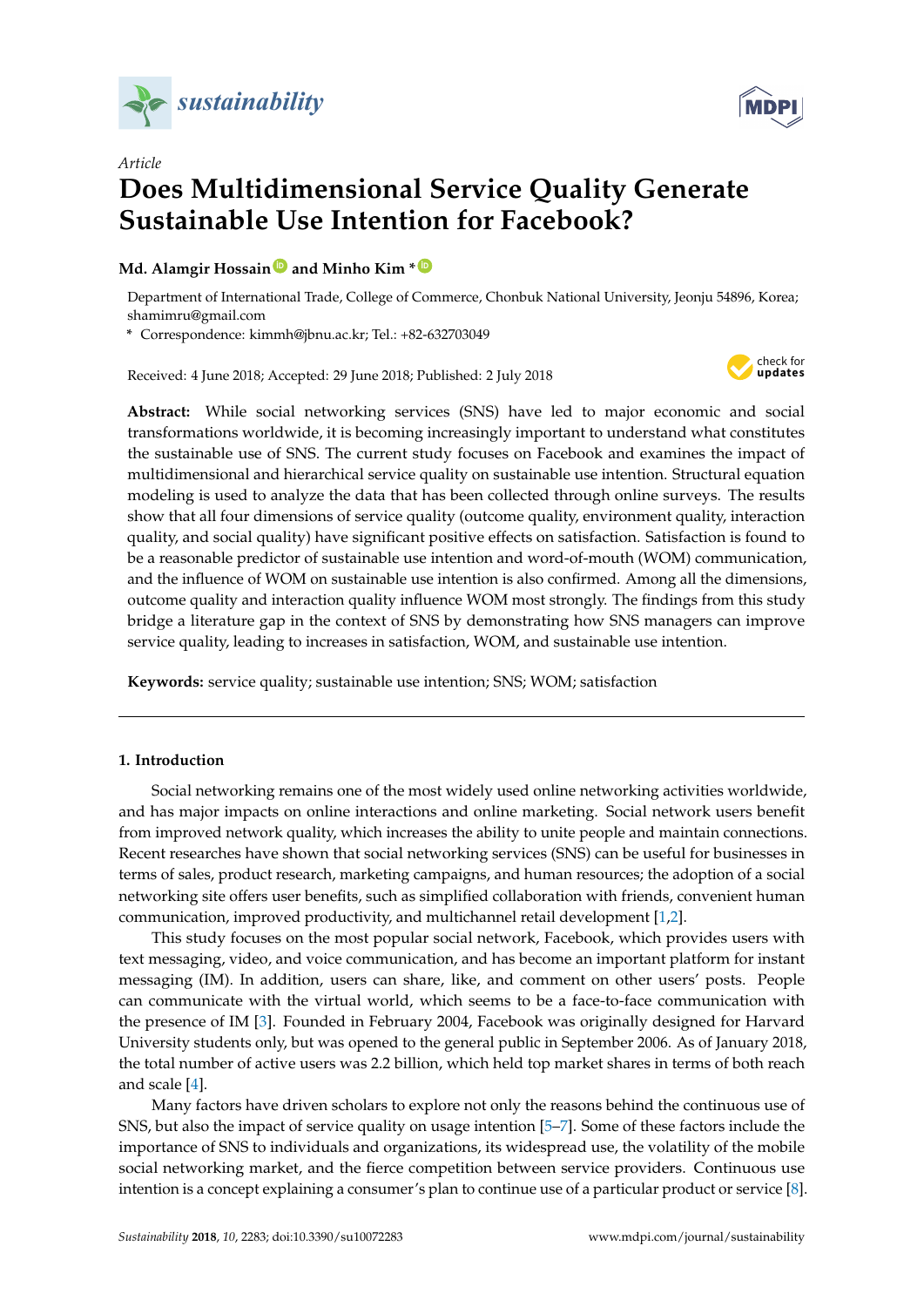

*Article*



# **Does Multidimensional Service Quality Generate Sustainable Use Intention for Facebook?**

# **Md. Alamgir Hossain [ID](https://orcid.org/0000-0002-8217-6610) and Minho Kim \* [ID](https://orcid.org/0000-0002-6703-0808)**

Department of International Trade, College of Commerce, Chonbuk National University, Jeonju 54896, Korea; shamimru@gmail.com

**\*** Correspondence: kimmh@jbnu.ac.kr; Tel.: +82-632703049

Received: 4 June 2018; Accepted: 29 June 2018; Published: 2 July 2018



**Abstract:** While social networking services (SNS) have led to major economic and social transformations worldwide, it is becoming increasingly important to understand what constitutes the sustainable use of SNS. The current study focuses on Facebook and examines the impact of multidimensional and hierarchical service quality on sustainable use intention. Structural equation modeling is used to analyze the data that has been collected through online surveys. The results show that all four dimensions of service quality (outcome quality, environment quality, interaction quality, and social quality) have significant positive effects on satisfaction. Satisfaction is found to be a reasonable predictor of sustainable use intention and word-of-mouth (WOM) communication, and the influence of WOM on sustainable use intention is also confirmed. Among all the dimensions, outcome quality and interaction quality influence WOM most strongly. The findings from this study bridge a literature gap in the context of SNS by demonstrating how SNS managers can improve service quality, leading to increases in satisfaction, WOM, and sustainable use intention.

**Keywords:** service quality; sustainable use intention; SNS; WOM; satisfaction

# **1. Introduction**

Social networking remains one of the most widely used online networking activities worldwide, and has major impacts on online interactions and online marketing. Social network users benefit from improved network quality, which increases the ability to unite people and maintain connections. Recent researches have shown that social networking services (SNS) can be useful for businesses in terms of sales, product research, marketing campaigns, and human resources; the adoption of a social networking site offers user benefits, such as simplified collaboration with friends, convenient human communication, improved productivity, and multichannel retail development [\[1,](#page-12-0)[2\]](#page-12-1).

This study focuses on the most popular social network, Facebook, which provides users with text messaging, video, and voice communication, and has become an important platform for instant messaging (IM). In addition, users can share, like, and comment on other users' posts. People can communicate with the virtual world, which seems to be a face-to-face communication with the presence of IM [\[3\]](#page-12-2). Founded in February 2004, Facebook was originally designed for Harvard University students only, but was opened to the general public in September 2006. As of January 2018, the total number of active users was 2.2 billion, which held top market shares in terms of both reach and scale [\[4\]](#page-12-3).

Many factors have driven scholars to explore not only the reasons behind the continuous use of SNS, but also the impact of service quality on usage intention [\[5–](#page-12-4)[7\]](#page-12-5). Some of these factors include the importance of SNS to individuals and organizations, its widespread use, the volatility of the mobile social networking market, and the fierce competition between service providers. Continuous use intention is a concept explaining a consumer's plan to continue use of a particular product or service [\[8\]](#page-12-6).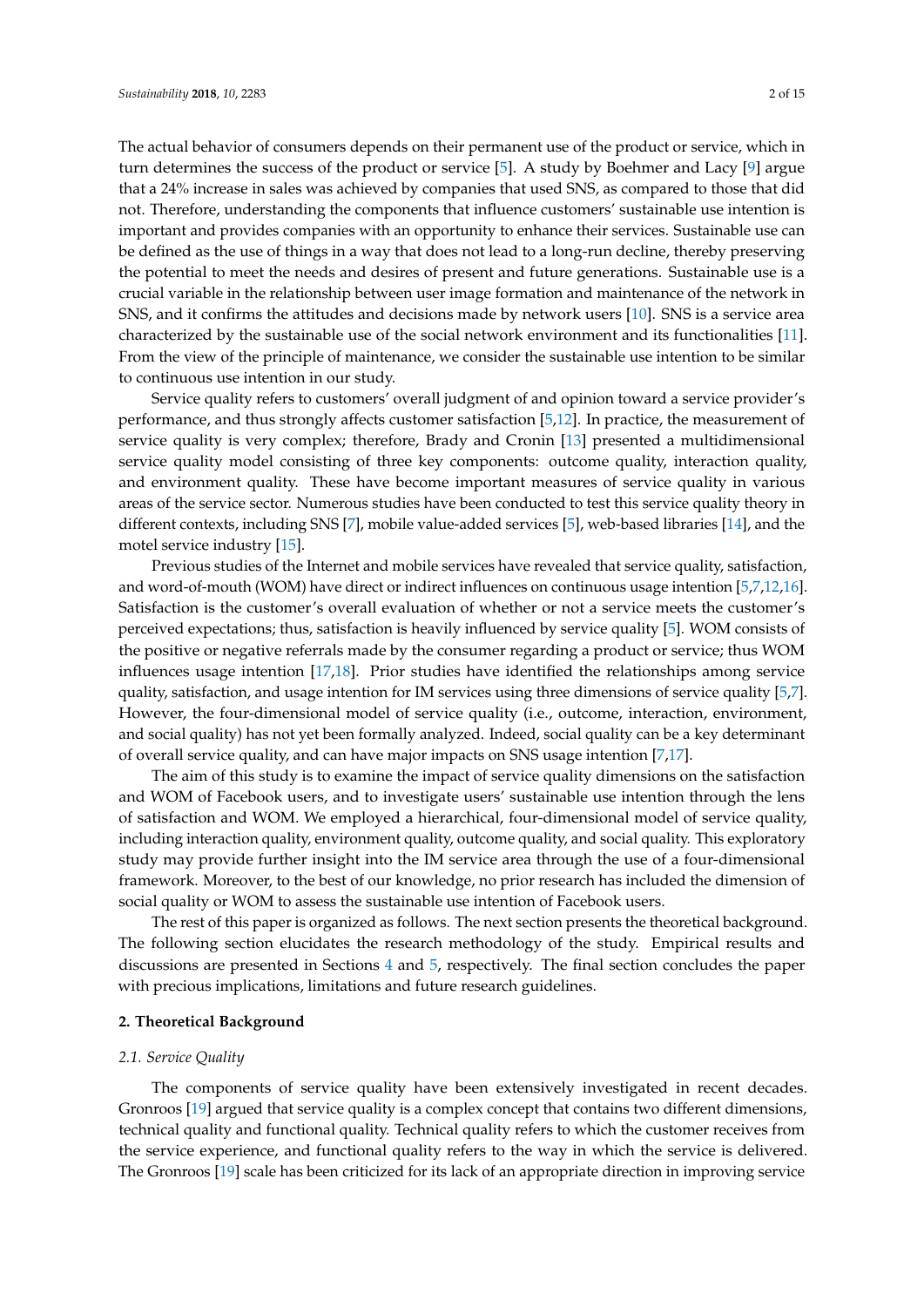The actual behavior of consumers depends on their permanent use of the product or service, which in turn determines the success of the product or service [\[5\]](#page-12-4). A study by Boehmer and Lacy [\[9\]](#page-12-7) argue that a 24% increase in sales was achieved by companies that used SNS, as compared to those that did not. Therefore, understanding the components that influence customers' sustainable use intention is important and provides companies with an opportunity to enhance their services. Sustainable use can be defined as the use of things in a way that does not lead to a long-run decline, thereby preserving the potential to meet the needs and desires of present and future generations. Sustainable use is a crucial variable in the relationship between user image formation and maintenance of the network in SNS, and it confirms the attitudes and decisions made by network users [\[10\]](#page-12-8). SNS is a service area characterized by the sustainable use of the social network environment and its functionalities [\[11\]](#page-12-9). From the view of the principle of maintenance, we consider the sustainable use intention to be similar to continuous use intention in our study.

Service quality refers to customers' overall judgment of and opinion toward a service provider's performance, and thus strongly affects customer satisfaction [\[5,](#page-12-4)[12\]](#page-13-0). In practice, the measurement of service quality is very complex; therefore, Brady and Cronin [\[13\]](#page-13-1) presented a multidimensional service quality model consisting of three key components: outcome quality, interaction quality, and environment quality. These have become important measures of service quality in various areas of the service sector. Numerous studies have been conducted to test this service quality theory in different contexts, including SNS [\[7\]](#page-12-5), mobile value-added services [\[5\]](#page-12-4), web-based libraries [\[14\]](#page-13-2), and the motel service industry [\[15\]](#page-13-3).

Previous studies of the Internet and mobile services have revealed that service quality, satisfaction, and word-of-mouth (WOM) have direct or indirect influences on continuous usage intention [\[5,](#page-12-4)[7](#page-12-5)[,12](#page-13-0)[,16\]](#page-13-4). Satisfaction is the customer's overall evaluation of whether or not a service meets the customer's perceived expectations; thus, satisfaction is heavily influenced by service quality [\[5\]](#page-12-4). WOM consists of the positive or negative referrals made by the consumer regarding a product or service; thus WOM influences usage intention [\[17](#page-13-5)[,18\]](#page-13-6). Prior studies have identified the relationships among service quality, satisfaction, and usage intention for IM services using three dimensions of service quality [\[5](#page-12-4)[,7\]](#page-12-5). However, the four-dimensional model of service quality (i.e., outcome, interaction, environment, and social quality) has not yet been formally analyzed. Indeed, social quality can be a key determinant of overall service quality, and can have major impacts on SNS usage intention [\[7](#page-12-5)[,17\]](#page-13-5).

The aim of this study is to examine the impact of service quality dimensions on the satisfaction and WOM of Facebook users, and to investigate users' sustainable use intention through the lens of satisfaction and WOM. We employed a hierarchical, four-dimensional model of service quality, including interaction quality, environment quality, outcome quality, and social quality. This exploratory study may provide further insight into the IM service area through the use of a four-dimensional framework. Moreover, to the best of our knowledge, no prior research has included the dimension of social quality or WOM to assess the sustainable use intention of Facebook users.

The rest of this paper is organized as follows. The next section presents the theoretical background. The following section elucidates the research methodology of the study. Empirical results and discussions are presented in Sections [4](#page-7-0) and [5,](#page-10-0) respectively. The final section concludes the paper with precious implications, limitations and future research guidelines.

#### **2. Theoretical Background**

#### *2.1. Service Quality*

The components of service quality have been extensively investigated in recent decades. Gronroos [\[19\]](#page-13-7) argued that service quality is a complex concept that contains two different dimensions, technical quality and functional quality. Technical quality refers to which the customer receives from the service experience, and functional quality refers to the way in which the service is delivered. The Gronroos [\[19\]](#page-13-7) scale has been criticized for its lack of an appropriate direction in improving service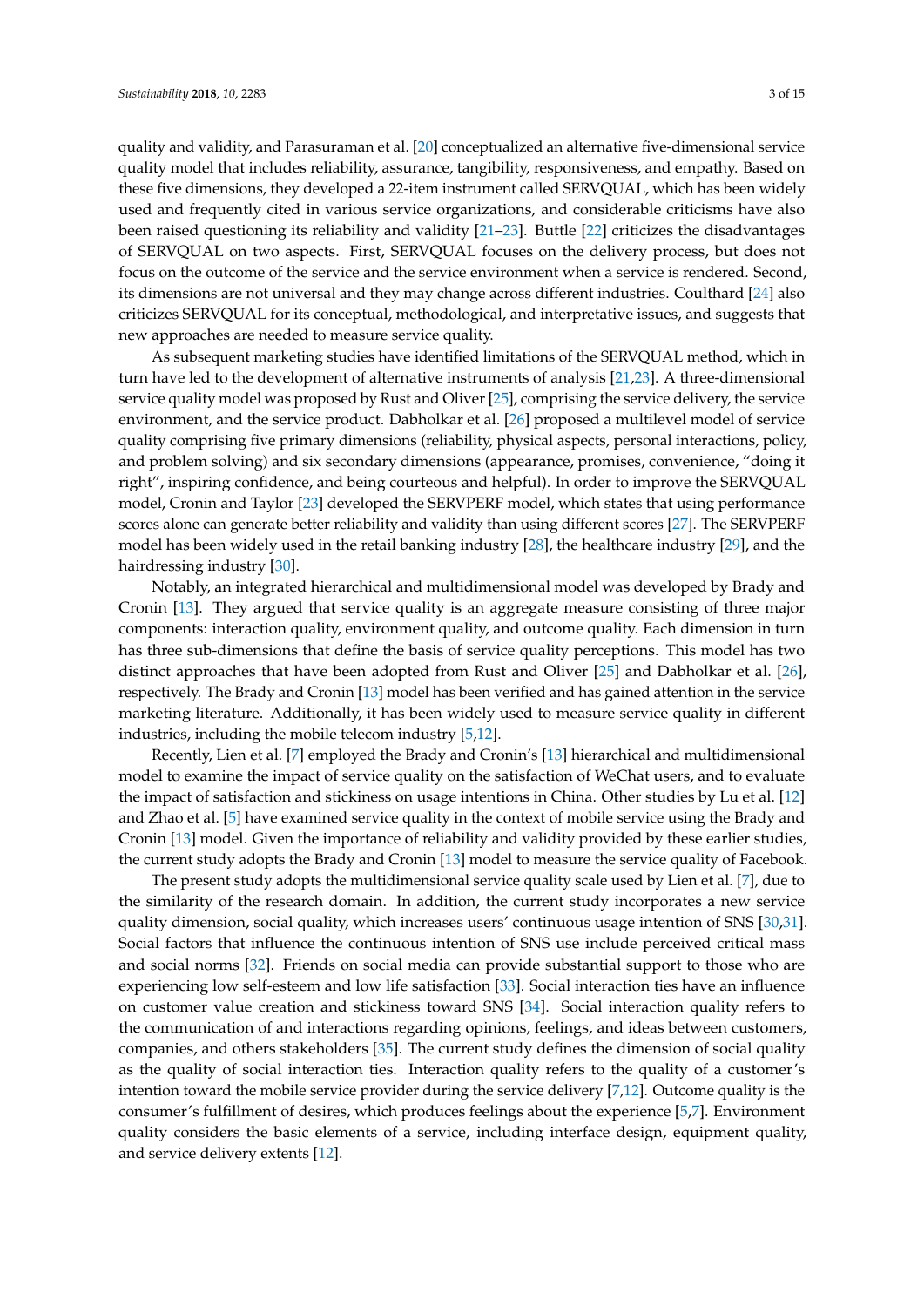quality and validity, and Parasuraman et al. [\[20\]](#page-13-8) conceptualized an alternative five-dimensional service quality model that includes reliability, assurance, tangibility, responsiveness, and empathy. Based on these five dimensions, they developed a 22-item instrument called SERVQUAL, which has been widely used and frequently cited in various service organizations, and considerable criticisms have also been raised questioning its reliability and validity [\[21](#page-13-9)[–23\]](#page-13-10). Buttle [\[22\]](#page-13-11) criticizes the disadvantages of SERVQUAL on two aspects. First, SERVQUAL focuses on the delivery process, but does not focus on the outcome of the service and the service environment when a service is rendered. Second, its dimensions are not universal and they may change across different industries. Coulthard [\[24\]](#page-13-12) also criticizes SERVQUAL for its conceptual, methodological, and interpretative issues, and suggests that new approaches are needed to measure service quality.

As subsequent marketing studies have identified limitations of the SERVQUAL method, which in turn have led to the development of alternative instruments of analysis [\[21](#page-13-9)[,23\]](#page-13-10). A three-dimensional service quality model was proposed by Rust and Oliver [\[25\]](#page-13-13), comprising the service delivery, the service environment, and the service product. Dabholkar et al. [\[26\]](#page-13-14) proposed a multilevel model of service quality comprising five primary dimensions (reliability, physical aspects, personal interactions, policy, and problem solving) and six secondary dimensions (appearance, promises, convenience, "doing it right", inspiring confidence, and being courteous and helpful). In order to improve the SERVQUAL model, Cronin and Taylor [\[23\]](#page-13-10) developed the SERVPERF model, which states that using performance scores alone can generate better reliability and validity than using different scores [\[27\]](#page-13-15). The SERVPERF model has been widely used in the retail banking industry [\[28\]](#page-13-16), the healthcare industry [\[29\]](#page-13-17), and the hairdressing industry [\[30\]](#page-13-18).

Notably, an integrated hierarchical and multidimensional model was developed by Brady and Cronin [\[13\]](#page-13-1). They argued that service quality is an aggregate measure consisting of three major components: interaction quality, environment quality, and outcome quality. Each dimension in turn has three sub-dimensions that define the basis of service quality perceptions. This model has two distinct approaches that have been adopted from Rust and Oliver [\[25\]](#page-13-13) and Dabholkar et al. [\[26\]](#page-13-14), respectively. The Brady and Cronin [\[13\]](#page-13-1) model has been verified and has gained attention in the service marketing literature. Additionally, it has been widely used to measure service quality in different industries, including the mobile telecom industry [\[5](#page-12-4)[,12\]](#page-13-0).

Recently, Lien et al. [\[7\]](#page-12-5) employed the Brady and Cronin's [\[13\]](#page-13-1) hierarchical and multidimensional model to examine the impact of service quality on the satisfaction of WeChat users, and to evaluate the impact of satisfaction and stickiness on usage intentions in China. Other studies by Lu et al. [\[12\]](#page-13-0) and Zhao et al. [\[5\]](#page-12-4) have examined service quality in the context of mobile service using the Brady and Cronin [\[13\]](#page-13-1) model. Given the importance of reliability and validity provided by these earlier studies, the current study adopts the Brady and Cronin [\[13\]](#page-13-1) model to measure the service quality of Facebook.

The present study adopts the multidimensional service quality scale used by Lien et al. [\[7\]](#page-12-5), due to the similarity of the research domain. In addition, the current study incorporates a new service quality dimension, social quality, which increases users' continuous usage intention of SNS [\[30,](#page-13-18)[31\]](#page-13-19). Social factors that influence the continuous intention of SNS use include perceived critical mass and social norms [\[32\]](#page-13-20). Friends on social media can provide substantial support to those who are experiencing low self-esteem and low life satisfaction [\[33\]](#page-13-21). Social interaction ties have an influence on customer value creation and stickiness toward SNS [\[34\]](#page-13-22). Social interaction quality refers to the communication of and interactions regarding opinions, feelings, and ideas between customers, companies, and others stakeholders [\[35\]](#page-13-23). The current study defines the dimension of social quality as the quality of social interaction ties. Interaction quality refers to the quality of a customer's intention toward the mobile service provider during the service delivery [\[7](#page-12-5)[,12\]](#page-13-0). Outcome quality is the consumer's fulfillment of desires, which produces feelings about the experience [\[5,](#page-12-4)[7\]](#page-12-5). Environment quality considers the basic elements of a service, including interface design, equipment quality, and service delivery extents [\[12\]](#page-13-0).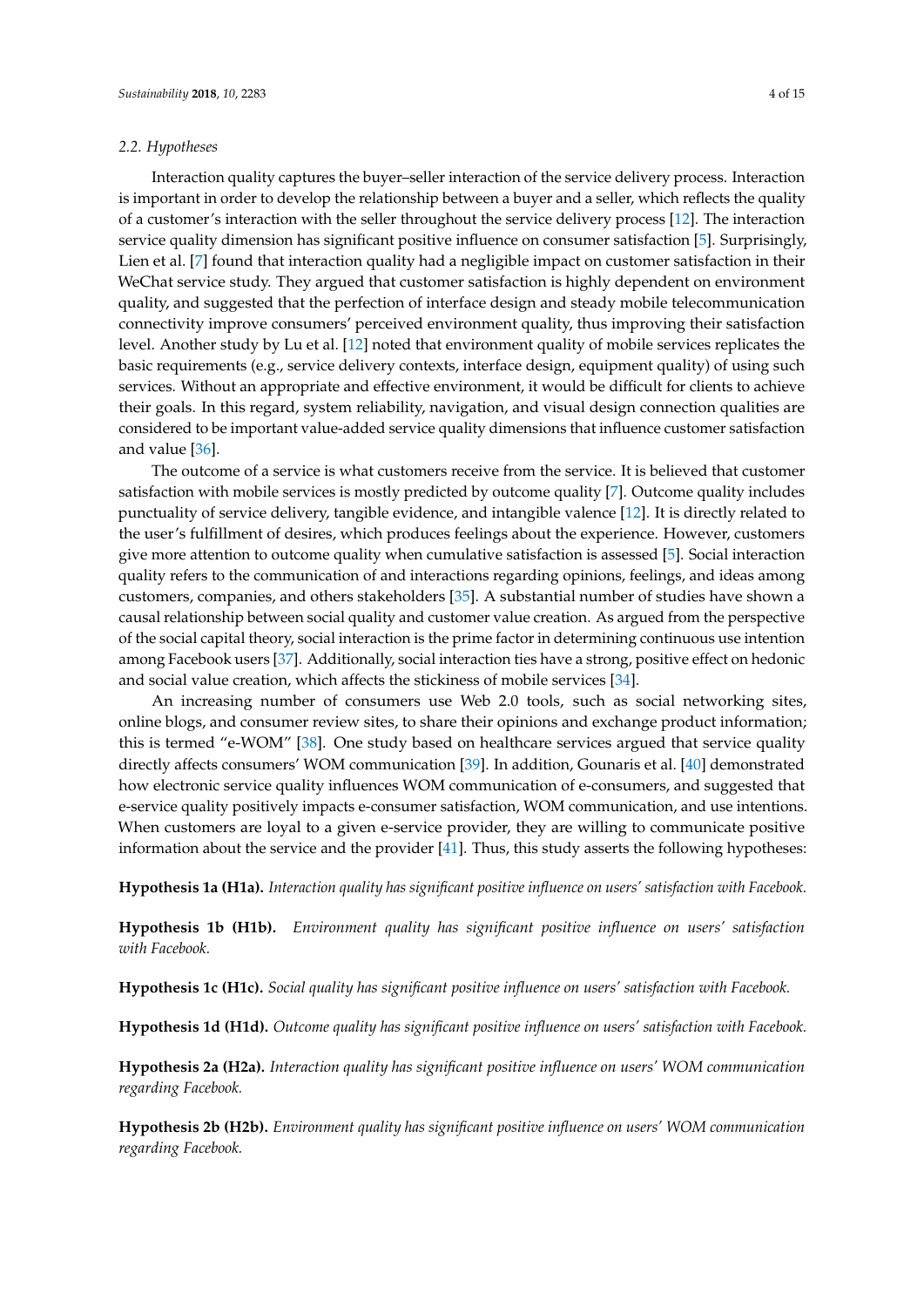# *2.2. Hypotheses*

Interaction quality captures the buyer–seller interaction of the service delivery process. Interaction is important in order to develop the relationship between a buyer and a seller, which reflects the quality of a customer's interaction with the seller throughout the service delivery process [\[12\]](#page-13-0). The interaction service quality dimension has significant positive influence on consumer satisfaction [\[5\]](#page-12-4). Surprisingly, Lien et al. [\[7\]](#page-12-5) found that interaction quality had a negligible impact on customer satisfaction in their WeChat service study. They argued that customer satisfaction is highly dependent on environment quality, and suggested that the perfection of interface design and steady mobile telecommunication connectivity improve consumers' perceived environment quality, thus improving their satisfaction level. Another study by Lu et al. [\[12\]](#page-13-0) noted that environment quality of mobile services replicates the basic requirements (e.g., service delivery contexts, interface design, equipment quality) of using such services. Without an appropriate and effective environment, it would be difficult for clients to achieve their goals. In this regard, system reliability, navigation, and visual design connection qualities are considered to be important value-added service quality dimensions that influence customer satisfaction and value [\[36\]](#page-13-24).

The outcome of a service is what customers receive from the service. It is believed that customer satisfaction with mobile services is mostly predicted by outcome quality [\[7\]](#page-12-5). Outcome quality includes punctuality of service delivery, tangible evidence, and intangible valence [\[12\]](#page-13-0). It is directly related to the user's fulfillment of desires, which produces feelings about the experience. However, customers give more attention to outcome quality when cumulative satisfaction is assessed [\[5\]](#page-12-4). Social interaction quality refers to the communication of and interactions regarding opinions, feelings, and ideas among customers, companies, and others stakeholders [\[35\]](#page-13-23). A substantial number of studies have shown a causal relationship between social quality and customer value creation. As argued from the perspective of the social capital theory, social interaction is the prime factor in determining continuous use intention among Facebook users [\[37\]](#page-13-25). Additionally, social interaction ties have a strong, positive effect on hedonic and social value creation, which affects the stickiness of mobile services [\[34\]](#page-13-22).

An increasing number of consumers use Web 2.0 tools, such as social networking sites, online blogs, and consumer review sites, to share their opinions and exchange product information; this is termed "e-WOM" [\[38\]](#page-14-0). One study based on healthcare services argued that service quality directly affects consumers' WOM communication [\[39\]](#page-14-1). In addition, Gounaris et al. [\[40\]](#page-14-2) demonstrated how electronic service quality influences WOM communication of e-consumers, and suggested that e-service quality positively impacts e-consumer satisfaction, WOM communication, and use intentions. When customers are loyal to a given e-service provider, they are willing to communicate positive information about the service and the provider [\[41\]](#page-14-3). Thus, this study asserts the following hypotheses:

**Hypothesis 1a (H1a).** *Interaction quality has significant positive influence on users' satisfaction with Facebook.*

**Hypothesis 1b (H1b).** *Environment quality has significant positive influence on users' satisfaction with Facebook.*

**Hypothesis 1c (H1c).** *Social quality has significant positive influence on users' satisfaction with Facebook.*

**Hypothesis 1d (H1d).** *Outcome quality has significant positive influence on users' satisfaction with Facebook.*

**Hypothesis 2a (H2a).** *Interaction quality has significant positive influence on users' WOM communication regarding Facebook.*

**Hypothesis 2b (H2b).** *Environment quality has significant positive influence on users' WOM communication regarding Facebook.*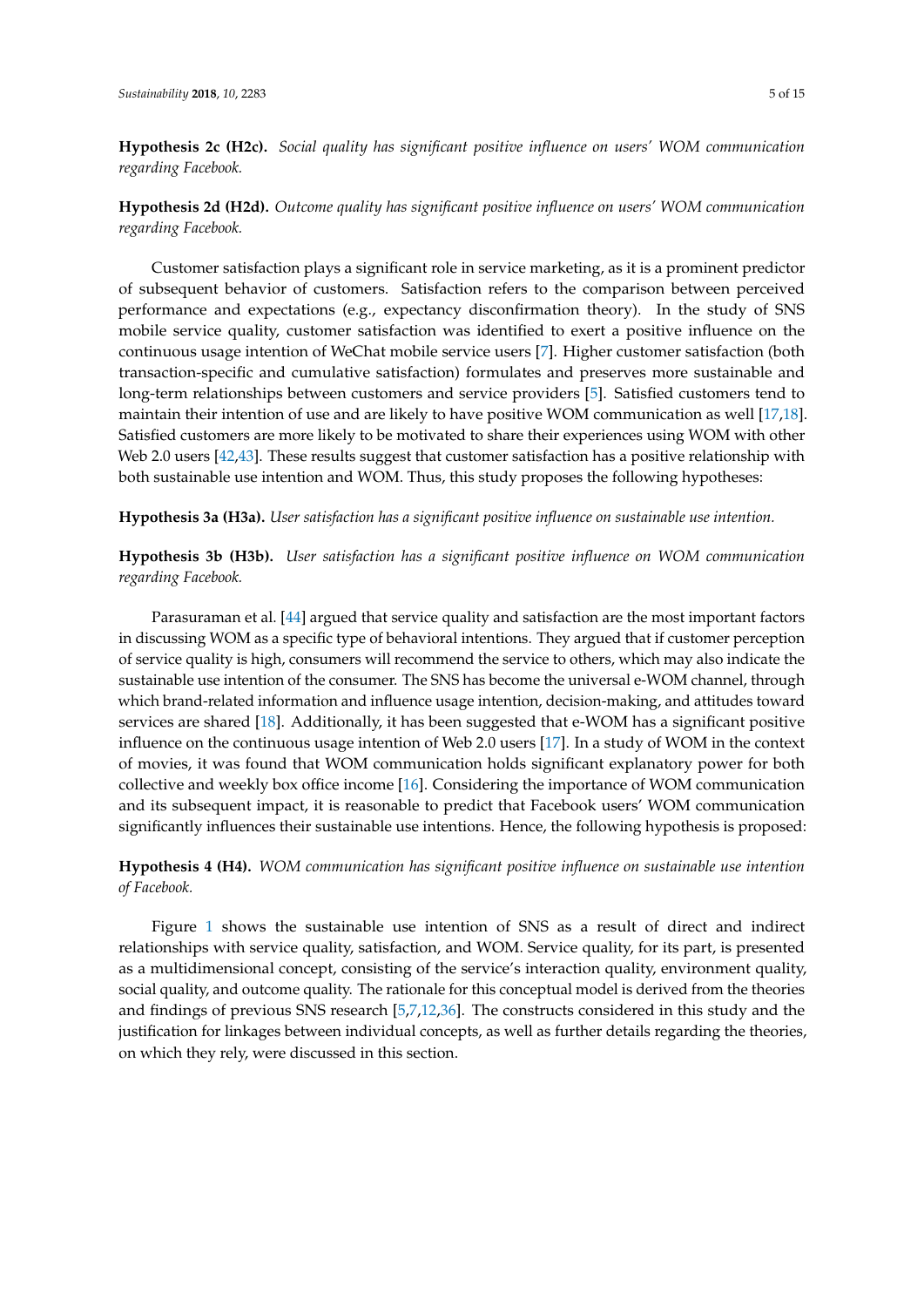**Hypothesis 2c (H2c).** *Social quality has significant positive influence on users' WOM communication regarding Facebook.*

**Hypothesis 2d (H2d).** *Outcome quality has significant positive influence on users' WOM communication regarding Facebook.*

Customer satisfaction plays a significant role in service marketing, as it is a prominent predictor of subsequent behavior of customers. Satisfaction refers to the comparison between perceived performance and expectations (e.g., expectancy disconfirmation theory). In the study of SNS mobile service quality, customer satisfaction was identified to exert a positive influence on the continuous usage intention of WeChat mobile service users [\[7\]](#page-12-5). Higher customer satisfaction (both transaction-specific and cumulative satisfaction) formulates and preserves more sustainable and long-term relationships between customers and service providers [\[5\]](#page-12-4). Satisfied customers tend to maintain their intention of use and are likely to have positive WOM communication as well [\[17,](#page-13-5)[18\]](#page-13-6). Satisfied customers are more likely to be motivated to share their experiences using WOM with other Web 2.0 users [\[42,](#page-14-4)[43\]](#page-14-5). These results suggest that customer satisfaction has a positive relationship with both sustainable use intention and WOM. Thus, this study proposes the following hypotheses:

**Hypothesis 3a (H3a).** *User satisfaction has a significant positive influence on sustainable use intention.*

**Hypothesis 3b (H3b).** *User satisfaction has a significant positive influence on WOM communication regarding Facebook.*

Parasuraman et al. [\[44\]](#page-14-6) argued that service quality and satisfaction are the most important factors in discussing WOM as a specific type of behavioral intentions. They argued that if customer perception of service quality is high, consumers will recommend the service to others, which may also indicate the sustainable use intention of the consumer. The SNS has become the universal e-WOM channel, through which brand-related information and influence usage intention, decision-making, and attitudes toward services are shared [\[18\]](#page-13-6). Additionally, it has been suggested that e-WOM has a significant positive influence on the continuous usage intention of Web 2.0 users [\[17\]](#page-13-5). In a study of WOM in the context of movies, it was found that WOM communication holds significant explanatory power for both collective and weekly box office income [\[16\]](#page-13-4). Considering the importance of WOM communication and its subsequent impact, it is reasonable to predict that Facebook users' WOM communication significantly influences their sustainable use intentions. Hence, the following hypothesis is proposed:

**Hypothesis 4 (H4).** *WOM communication has significant positive influence on sustainable use intention of Facebook.*

Figure [1](#page-5-0) shows the sustainable use intention of SNS as a result of direct and indirect relationships with service quality, satisfaction, and WOM. Service quality, for its part, is presented as a multidimensional concept, consisting of the service's interaction quality, environment quality, social quality, and outcome quality. The rationale for this conceptual model is derived from the theories and findings of previous SNS research [\[5](#page-12-4)[,7](#page-12-5)[,12](#page-13-0)[,36\]](#page-13-24). The constructs considered in this study and the justification for linkages between individual concepts, as well as further details regarding the theories, on which they rely, were discussed in this section.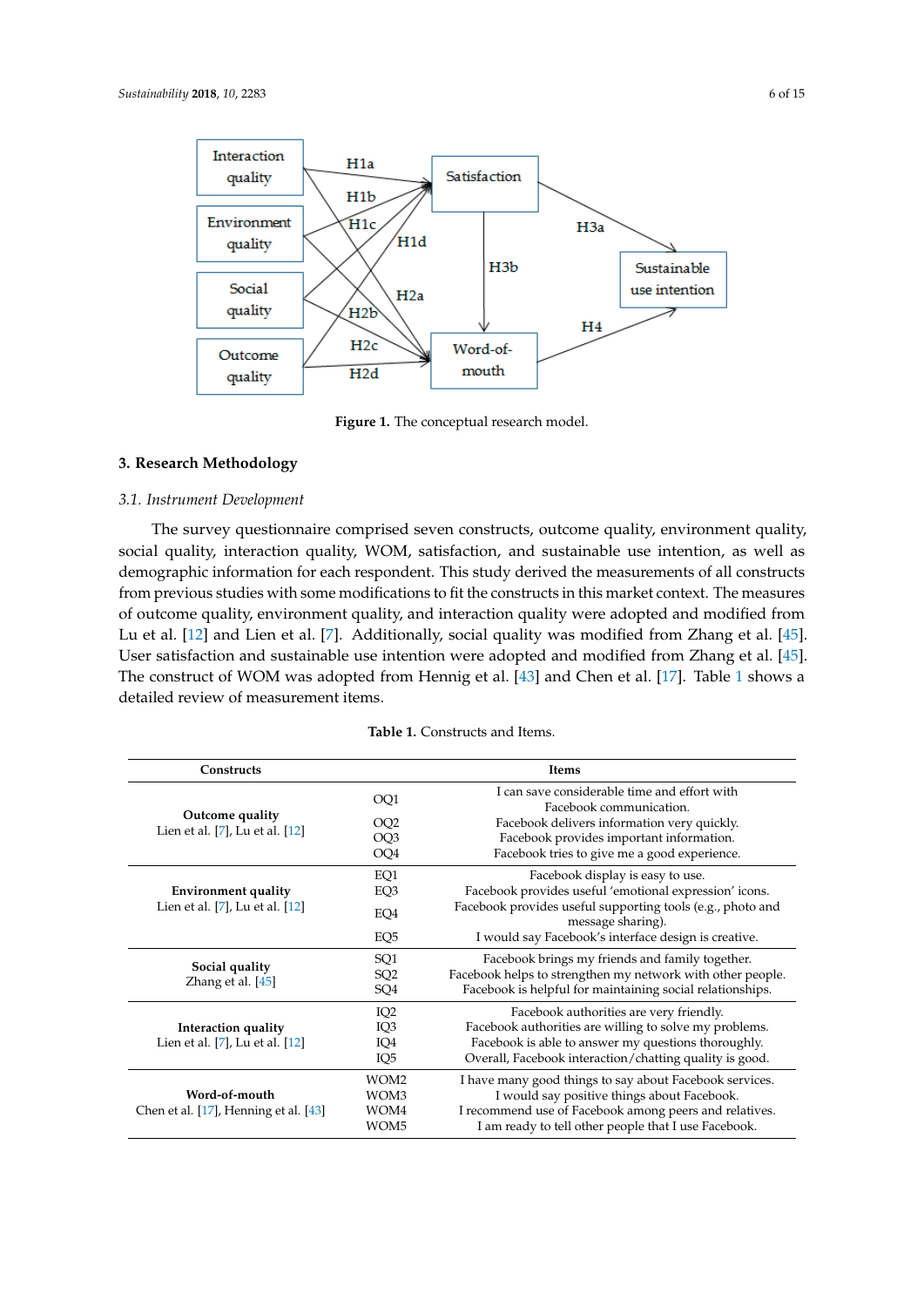<span id="page-5-0"></span>

**Figure 1.** The conceptual research model. **Figure 1.** The conceptual research model.

# **3. Research Methodology 3. Research Methodology**

# *3.1. Instrument Development 3.1. Instrument Development*

The survey questionnaire comprised seven constructs, outcome quality, environment quality, The survey questionnaire comprised seven constructs, outcome quality, environment quality, social quality, interaction quality, WOM, satisfaction, and sustainable use intention, as well as social quality, interaction quality, WOM, satisfaction, and sustainable use intention, as well as demographic information for each respondent. This study derived the measurements of all constructs demographic information for each respondent. This study derived the measurements of all constructs from previous studies with some modifications to fit the constructs in this market context. The from previous studies with some modifications to fit the constructs in this market context. The measures of outcome quality, environment quality, and interaction quality were adopted and modified from Lu et al. [12] and Lien et al. [7]. Additionally, social quality was modified [fro](#page-13-0)m Zh[ang](#page-14-7) et al. [45]. User satisfaction and sustainable use intention were adopted and modified from Zha[ng e](#page-14-7)t al. [45]. The construct of WOM was adopted from Henn[ig e](#page-14-5)t al.  $[43]$  and C[hen](#page-13-5) et al.  $[17]$  $[17]$ . Table 1 shows a detailed review of measurement items.

| <b>Table 1.</b> Constructs and Items. |
|---------------------------------------|
|                                       |

<span id="page-5-1"></span>

| <b>Constructs</b>                     |                  | <b>Items</b>                                                                    |
|---------------------------------------|------------------|---------------------------------------------------------------------------------|
|                                       | OQ1              | I can save considerable time and effort with<br>Facebook communication.         |
| Outcome quality                       | OQ <sub>2</sub>  | Facebook delivers information very quickly.                                     |
| Lien et al. [7], Lu et al. [12]       | OQ <sub>3</sub>  | Facebook provides important information.                                        |
|                                       | OQ4              | Facebook tries to give me a good experience.                                    |
|                                       | EQ1              | Facebook display is easy to use.                                                |
| <b>Environment quality</b>            | EQ3              | Facebook provides useful 'emotional expression' icons.                          |
| Lien et al. [7], Lu et al. [12]       | EQ4              | Facebook provides useful supporting tools (e.g., photo and<br>message sharing). |
|                                       | EQ <sub>5</sub>  | I would say Facebook's interface design is creative.                            |
|                                       | SQ <sub>1</sub>  | Facebook brings my friends and family together.                                 |
| Social quality<br>Zhang et al. [45]   | SQ <sub>2</sub>  | Facebook helps to strengthen my network with other people.                      |
|                                       | SQ4              | Facebook is helpful for maintaining social relationships.                       |
|                                       | IQ <sub>2</sub>  | Facebook authorities are very friendly.                                         |
| Interaction quality                   | IQ3              | Facebook authorities are willing to solve my problems.                          |
| Lien et al. [7], Lu et al. [12]       | IQ4              | Facebook is able to answer my questions thoroughly.                             |
|                                       | IQ <sub>5</sub>  | Overall, Facebook interaction/chatting quality is good.                         |
|                                       | WOM2             | I have many good things to say about Facebook services.                         |
| Word-of-mouth                         | WOM3             | I would say positive things about Facebook.                                     |
| Chen et al. [17], Henning et al. [43] | WOM4             | I recommend use of Facebook among peers and relatives.                          |
|                                       | WOM <sub>5</sub> | I am ready to tell other people that I use Facebook.                            |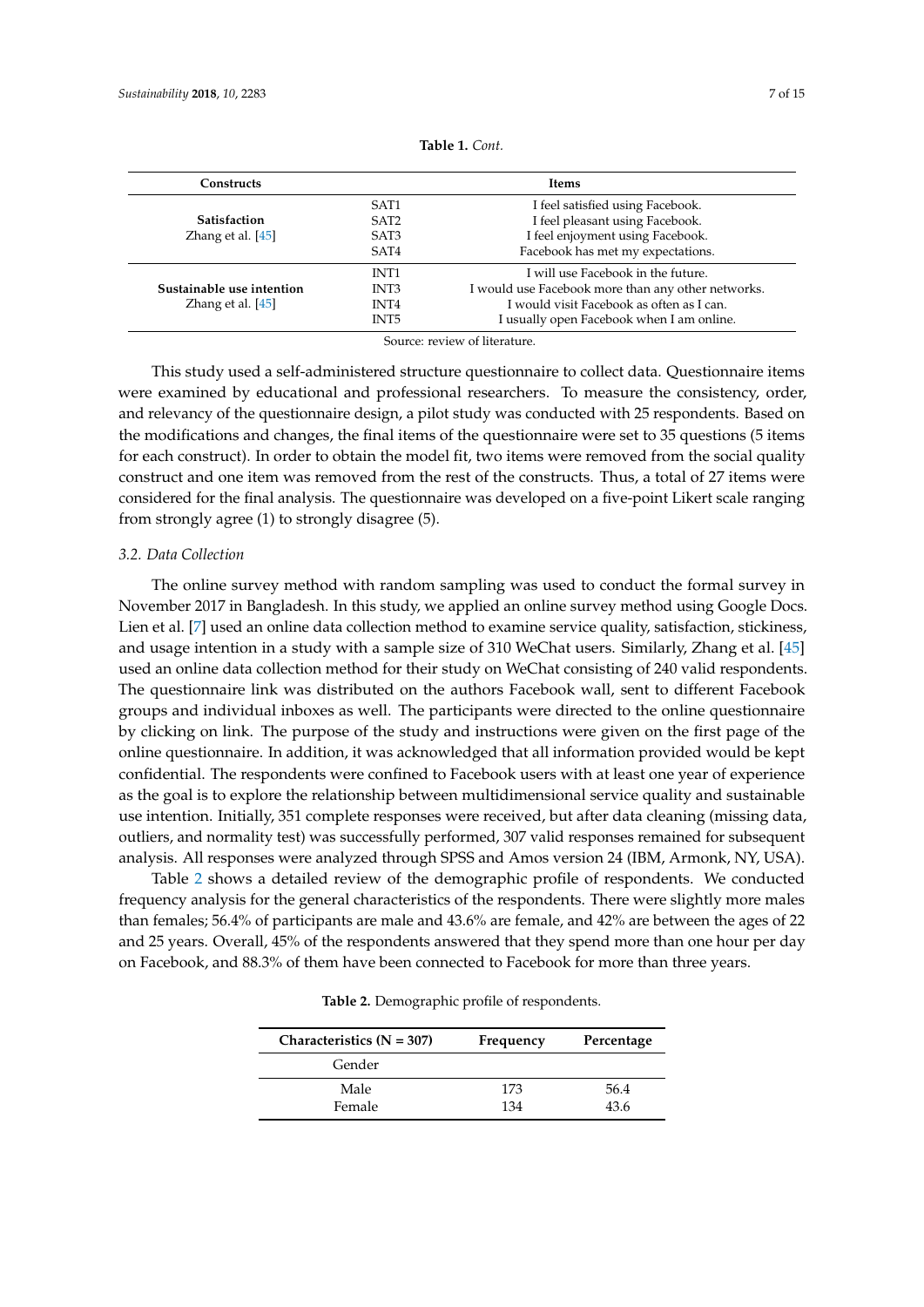| <b>Constructs</b>         | <b>Items</b>     |                                                    |  |  |  |
|---------------------------|------------------|----------------------------------------------------|--|--|--|
|                           | SAT <sub>1</sub> | I feel satisfied using Facebook.                   |  |  |  |
| <b>Satisfaction</b>       | SAT <sub>2</sub> | I feel pleasant using Facebook.                    |  |  |  |
| Zhang et al. $[45]$       | SAT <sub>3</sub> | I feel enjoyment using Facebook.                   |  |  |  |
|                           | SAT4             | Facebook has met my expectations.                  |  |  |  |
|                           | INT <sub>1</sub> | I will use Facebook in the future.                 |  |  |  |
| Sustainable use intention | INT3             | I would use Facebook more than any other networks. |  |  |  |
| Zhang et al. $[45]$       | INT4             | I would visit Facebook as often as I can.          |  |  |  |
|                           | INT5             | I usually open Facebook when I am online.          |  |  |  |

**Table 1.** *Cont.*

Source: review of literature.

This study used a self-administered structure questionnaire to collect data. Questionnaire items were examined by educational and professional researchers. To measure the consistency, order, and relevancy of the questionnaire design, a pilot study was conducted with 25 respondents. Based on the modifications and changes, the final items of the questionnaire were set to 35 questions (5 items for each construct). In order to obtain the model fit, two items were removed from the social quality construct and one item was removed from the rest of the constructs. Thus, a total of 27 items were considered for the final analysis. The questionnaire was developed on a five-point Likert scale ranging from strongly agree (1) to strongly disagree (5).

# *3.2. Data Collection*

The online survey method with random sampling was used to conduct the formal survey in November 2017 in Bangladesh. In this study, we applied an online survey method using Google Docs. Lien et al. [\[7\]](#page-12-5) used an online data collection method to examine service quality, satisfaction, stickiness, and usage intention in a study with a sample size of 310 WeChat users. Similarly, Zhang et al. [\[45\]](#page-14-7) used an online data collection method for their study on WeChat consisting of 240 valid respondents. The questionnaire link was distributed on the authors Facebook wall, sent to different Facebook groups and individual inboxes as well. The participants were directed to the online questionnaire by clicking on link. The purpose of the study and instructions were given on the first page of the online questionnaire. In addition, it was acknowledged that all information provided would be kept confidential. The respondents were confined to Facebook users with at least one year of experience as the goal is to explore the relationship between multidimensional service quality and sustainable use intention. Initially, 351 complete responses were received, but after data cleaning (missing data, outliers, and normality test) was successfully performed, 307 valid responses remained for subsequent analysis. All responses were analyzed through SPSS and Amos version 24 (IBM, Armonk, NY, USA).

<span id="page-6-0"></span>Table [2](#page-6-0) shows a detailed review of the demographic profile of respondents. We conducted frequency analysis for the general characteristics of the respondents. There were slightly more males than females; 56.4% of participants are male and 43.6% are female, and 42% are between the ages of 22 and 25 years. Overall, 45% of the respondents answered that they spend more than one hour per day on Facebook, and 88.3% of them have been connected to Facebook for more than three years.

**Table 2.** Demographic profile of respondents.

| Characteristics $(N = 307)$ | Frequency | Percentage |
|-----------------------------|-----------|------------|
| Gender                      |           |            |
| Male                        | 173       | 56.4       |
| Female                      | 134       | 43.6       |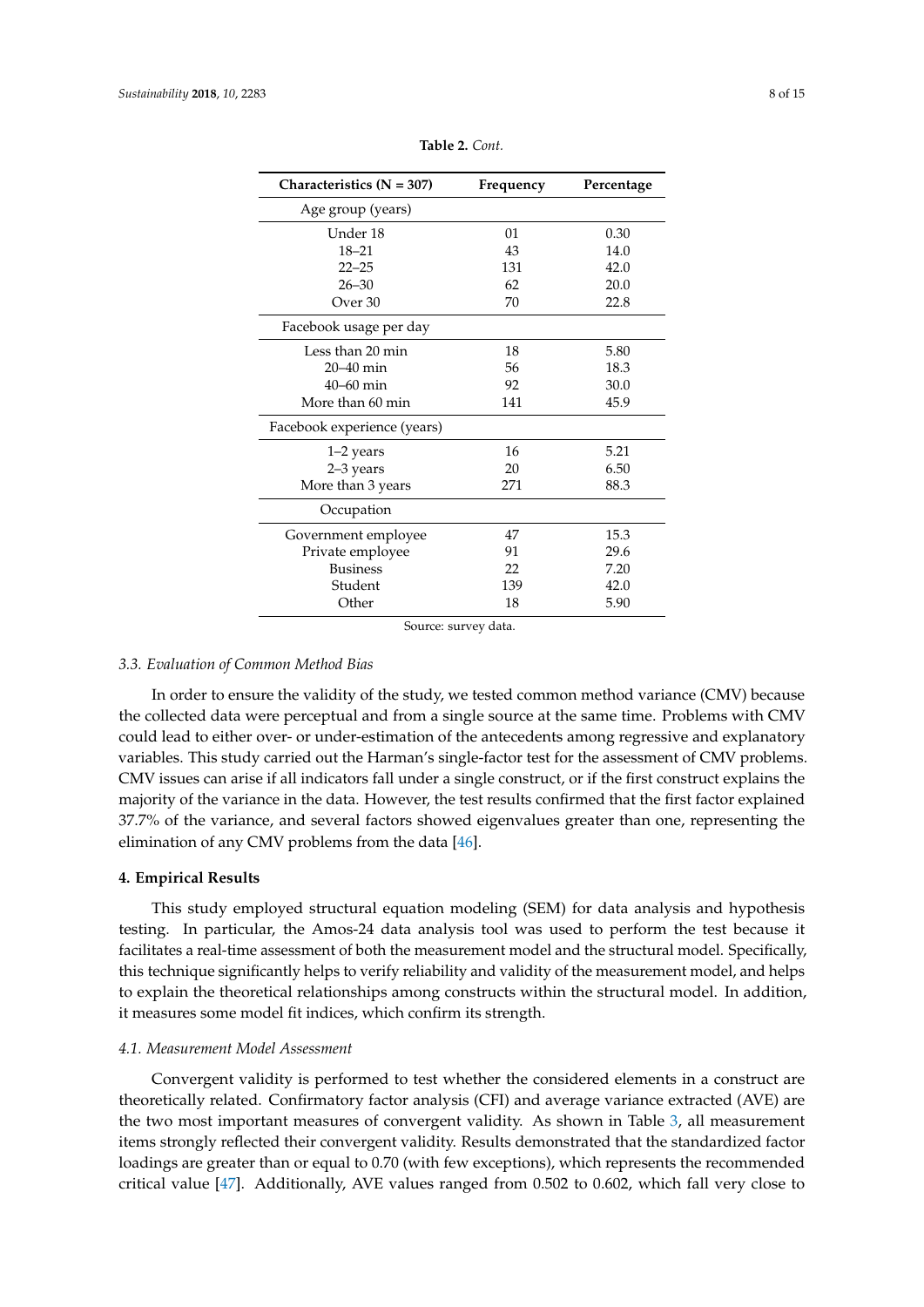| Characteristics $(N = 307)$ | Frequency | Percentage |  |  |
|-----------------------------|-----------|------------|--|--|
| Age group (years)           |           |            |  |  |
| Under 18                    | 01        | 0.30       |  |  |
| $18 - 21$                   | 43        | 14.0       |  |  |
| $22 - 25$                   | 131       | 42.0       |  |  |
| $26 - 30$                   | 62        | 20.0       |  |  |
| Over 30                     | 70        | 22.8       |  |  |
| Facebook usage per day      |           |            |  |  |
| Less than 20 min            | 18        | 5.80       |  |  |
| $20 - 40$ min               | 56        | 18.3       |  |  |
| $40 - 60$ min               | 92        | 30.0       |  |  |
| More than 60 min            | 141       | 45.9       |  |  |
| Facebook experience (years) |           |            |  |  |
| 1–2 years                   | 16        | 5.21       |  |  |
| 2-3 years                   | 20        | 6.50       |  |  |
| More than 3 years           | 271       | 88.3       |  |  |
| Occupation                  |           |            |  |  |
| Government employee         | 47        | 15.3       |  |  |
| Private employee            | 91        | 29.6       |  |  |
| <b>Business</b>             | 22        | 7.20       |  |  |
| Student                     | 139       | 42.0       |  |  |
| Other                       | 18        | 5.90       |  |  |

**Table 2.** *Cont.*

Source: survey data.

# *3.3. Evaluation of Common Method Bias*

In order to ensure the validity of the study, we tested common method variance (CMV) because the collected data were perceptual and from a single source at the same time. Problems with CMV could lead to either over- or under-estimation of the antecedents among regressive and explanatory variables. This study carried out the Harman's single-factor test for the assessment of CMV problems. CMV issues can arise if all indicators fall under a single construct, or if the first construct explains the majority of the variance in the data. However, the test results confirmed that the first factor explained 37.7% of the variance, and several factors showed eigenvalues greater than one, representing the elimination of any CMV problems from the data [\[46\]](#page-14-8).

#### <span id="page-7-0"></span>**4. Empirical Results**

This study employed structural equation modeling (SEM) for data analysis and hypothesis testing. In particular, the Amos-24 data analysis tool was used to perform the test because it facilitates a real-time assessment of both the measurement model and the structural model. Specifically, this technique significantly helps to verify reliability and validity of the measurement model, and helps to explain the theoretical relationships among constructs within the structural model. In addition, it measures some model fit indices, which confirm its strength.

# *4.1. Measurement Model Assessment*

Convergent validity is performed to test whether the considered elements in a construct are theoretically related. Confirmatory factor analysis (CFI) and average variance extracted (AVE) are the two most important measures of convergent validity. As shown in Table [3,](#page-8-0) all measurement items strongly reflected their convergent validity. Results demonstrated that the standardized factor loadings are greater than or equal to 0.70 (with few exceptions), which represents the recommended critical value [\[47\]](#page-14-9). Additionally, AVE values ranged from 0.502 to 0.602, which fall very close to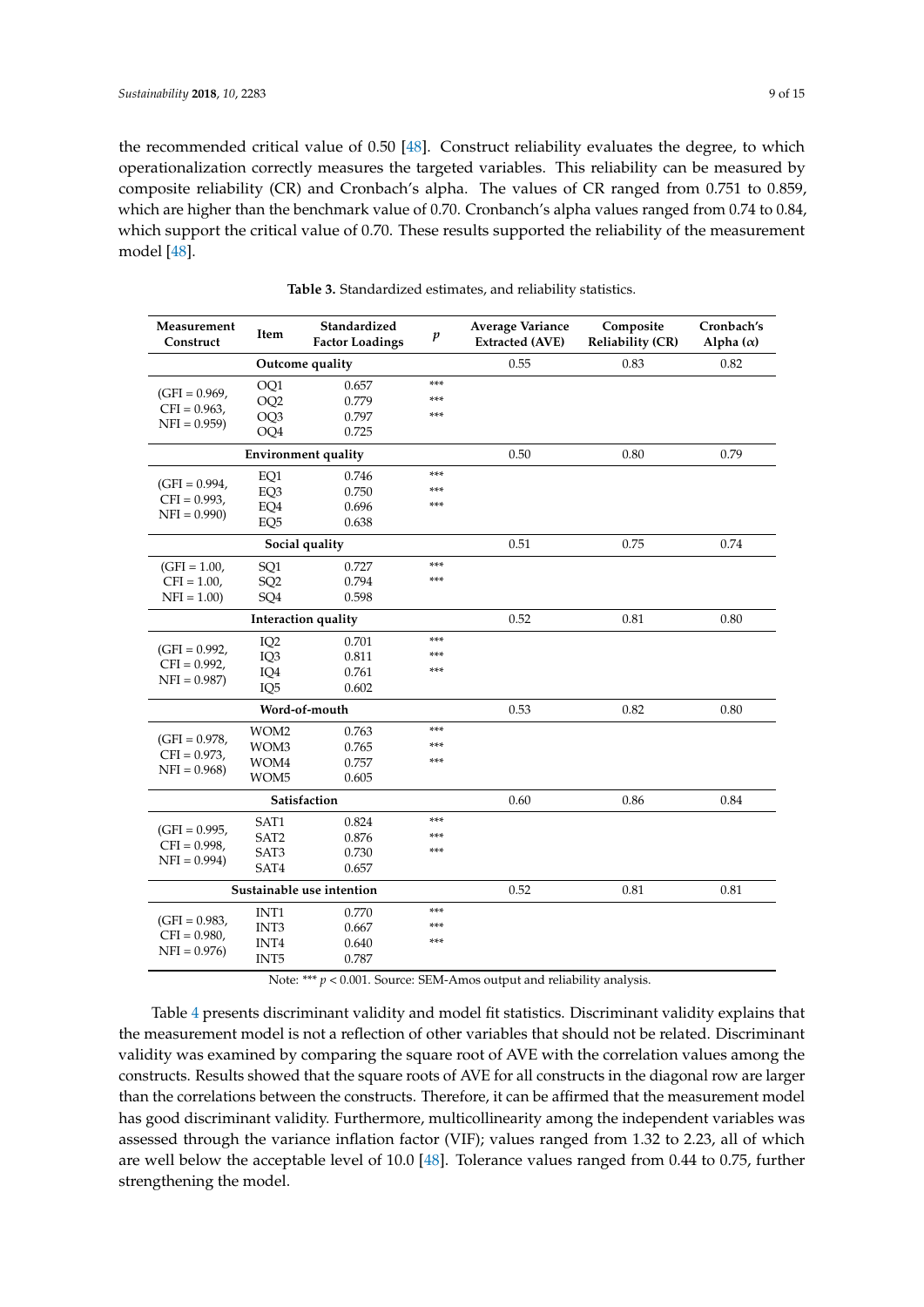the recommended critical value of 0.50 [\[48\]](#page-14-10). Construct reliability evaluates the degree, to which operationalization correctly measures the targeted variables. This reliability can be measured by composite reliability (CR) and Cronbach's alpha. The values of CR ranged from 0.751 to 0.859, which are higher than the benchmark value of 0.70. Cronbanch's alpha values ranged from 0.74 to 0.84, which support the critical value of 0.70. These results supported the reliability of the measurement model [\[48\]](#page-14-10).

<span id="page-8-0"></span>

| Measurement<br>Construct           | Item             | Standardized<br><b>Factor Loadings</b> | $\boldsymbol{p}$ | Average Variance<br><b>Extracted (AVE)</b> | Composite<br><b>Reliability (CR)</b> | Cronbach's<br>Alpha $(\alpha)$ |
|------------------------------------|------------------|----------------------------------------|------------------|--------------------------------------------|--------------------------------------|--------------------------------|
|                                    |                  | Outcome quality                        |                  | 0.55                                       | 0.83                                 | 0.82                           |
|                                    | OQ1              | 0.657                                  | ***              |                                            |                                      |                                |
| $(GFI = 0.969,$<br>$CFI = 0.963$ , | OQ <sub>2</sub>  | 0.779                                  | ***              |                                            |                                      |                                |
| $NFI = 0.959$                      | OQ <sub>3</sub>  | 0.797                                  | ***              |                                            |                                      |                                |
|                                    | OQ4              | 0.725                                  |                  |                                            |                                      |                                |
|                                    |                  | <b>Environment quality</b>             |                  | 0.50                                       | 0.80                                 | 0.79                           |
|                                    | EQ1              | 0.746                                  | ***              |                                            |                                      |                                |
| $(GFI = 0.994,$                    | EQ3              | 0.750                                  | ***              |                                            |                                      |                                |
| $CFI = 0.993$ ,                    | EQ4              | 0.696                                  | ***              |                                            |                                      |                                |
| $NFI = 0.990$                      | EQ <sub>5</sub>  | 0.638                                  |                  |                                            |                                      |                                |
|                                    |                  | Social quality                         |                  | 0.51                                       | 0.75                                 | 0.74                           |
| $(GFI = 1.00,$                     | SQ1              | 0.727                                  | ***              |                                            |                                      |                                |
| $CFI = 1.00$ ,                     | SQ <sub>2</sub>  | 0.794                                  | ***              |                                            |                                      |                                |
| $NFI = 1.00$                       | SQ <sub>4</sub>  | 0.598                                  |                  |                                            |                                      |                                |
|                                    |                  | Interaction quality                    |                  | 0.52                                       | 0.81                                 | 0.80                           |
|                                    | IQ <sub>2</sub>  | 0.701                                  | ***              |                                            |                                      |                                |
| $(GFI = 0.992,$                    | IQ3              | 0.811                                  | ***              |                                            |                                      |                                |
| $CFI = 0.992$ ,                    | IQ4              | 0.761                                  | ***              |                                            |                                      |                                |
| $NFI = 0.987$                      | IQ <sub>5</sub>  | 0.602                                  |                  |                                            |                                      |                                |
|                                    |                  | Word-of-mouth                          |                  | 0.53                                       | 0.82                                 | 0.80                           |
|                                    | WOM2             | 0.763                                  | ***              |                                            |                                      |                                |
| $(GFI = 0.978,$                    | WOM3             | 0.765                                  | ***              |                                            |                                      |                                |
| $CFI = 0.973$ ,                    | WOM4             | 0.757                                  | ***              |                                            |                                      |                                |
| $NFI = 0.968$                      | WOM <sub>5</sub> | 0.605                                  |                  |                                            |                                      |                                |
|                                    |                  | Satisfaction                           |                  | 0.60                                       | 0.86                                 | 0.84                           |
|                                    | SAT1             | 0.824                                  | ***              |                                            |                                      |                                |
| $(GFI = 0.995,$                    | SAT <sub>2</sub> | 0.876                                  | ***              |                                            |                                      |                                |
| $CFI = 0.998$ ,                    | SAT3             | 0.730                                  | ***              |                                            |                                      |                                |
| $NFI = 0.994$                      | SAT4             | 0.657                                  |                  |                                            |                                      |                                |
|                                    |                  | Sustainable use intention              | 0.52             | 0.81                                       | 0.81                                 |                                |
|                                    | INT <sub>1</sub> | 0.770                                  | ***              |                                            |                                      |                                |
| $(GFI = 0.983,$                    | INT3             | 0.667                                  | ***              |                                            |                                      |                                |
| $CFI = 0.980,$                     | INT4             | 0.640                                  | ***              |                                            |                                      |                                |
| $NFI = 0.976$                      | INT5             | 0.787                                  |                  |                                            |                                      |                                |

**Table 3.** Standardized estimates, and reliability statistics.

Note: \*\*\* *p* < 0.001. Source: SEM-Amos output and reliability analysis.

Table [4](#page-9-0) presents discriminant validity and model fit statistics. Discriminant validity explains that the measurement model is not a reflection of other variables that should not be related. Discriminant validity was examined by comparing the square root of AVE with the correlation values among the constructs. Results showed that the square roots of AVE for all constructs in the diagonal row are larger than the correlations between the constructs. Therefore, it can be affirmed that the measurement model has good discriminant validity. Furthermore, multicollinearity among the independent variables was assessed through the variance inflation factor (VIF); values ranged from 1.32 to 2.23, all of which are well below the acceptable level of 10.0 [\[48\]](#page-14-10). Tolerance values ranged from 0.44 to 0.75, further strengthening the model.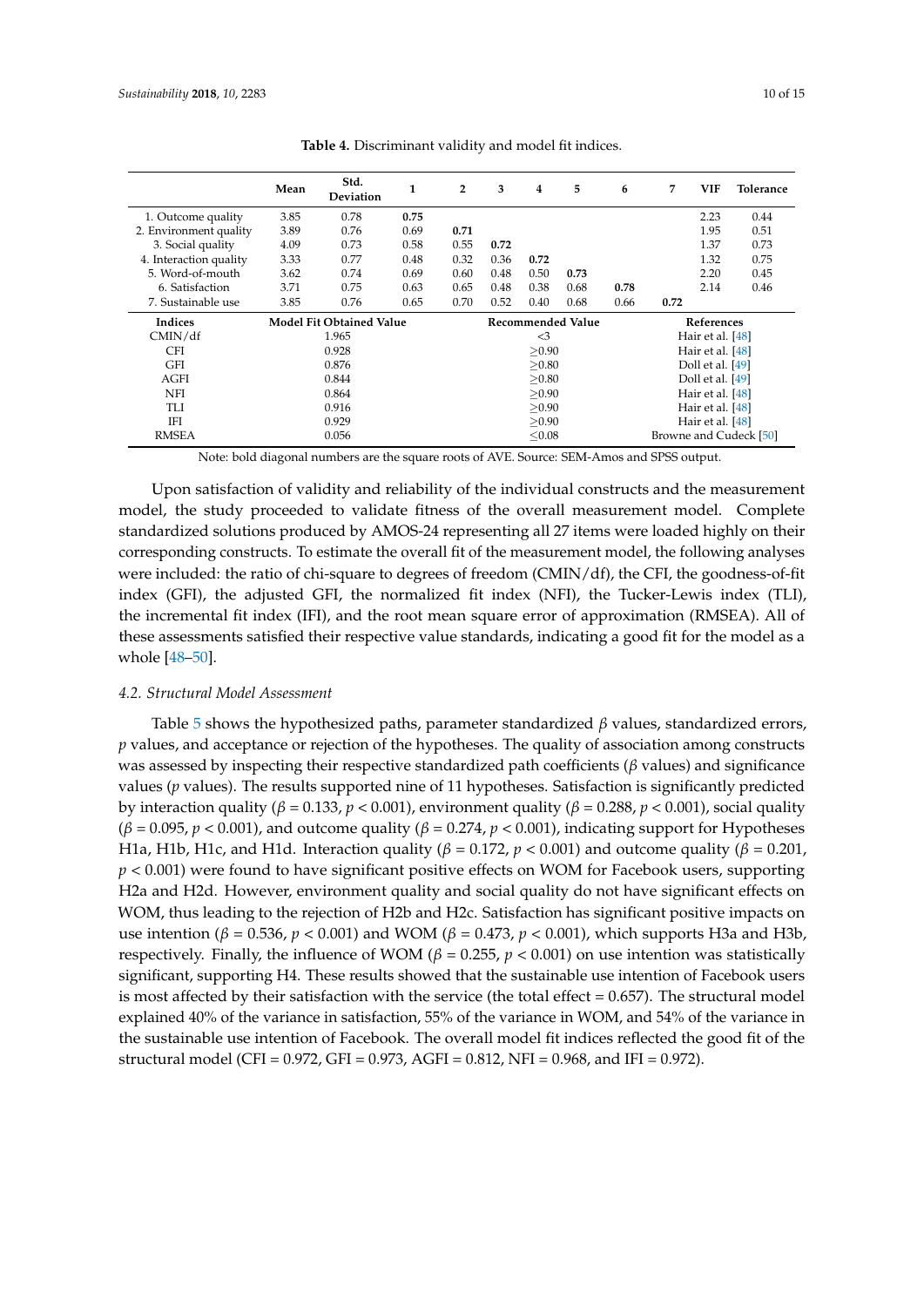<span id="page-9-0"></span>

|                        | Mean                            | Std.<br><b>Deviation</b> | 1    | $\overline{2}$ | 3                        | 4    | 5    | 6          | 7                      | <b>VIF</b>       | Tolerance |
|------------------------|---------------------------------|--------------------------|------|----------------|--------------------------|------|------|------------|------------------------|------------------|-----------|
| 1. Outcome quality     | 3.85                            | 0.78                     | 0.75 |                |                          |      |      |            |                        | 2.23             | 0.44      |
| 2. Environment quality | 3.89                            | 0.76                     | 0.69 | 0.71           |                          |      |      |            |                        | 1.95             | 0.51      |
| 3. Social quality      | 4.09                            | 0.73                     | 0.58 | 0.55           | 0.72                     |      |      |            |                        | 1.37             | 0.73      |
| 4. Interaction quality | 3.33                            | 0.77                     | 0.48 | 0.32           | 0.36                     | 0.72 |      |            |                        | 1.32             | 0.75      |
| 5. Word-of-mouth       | 3.62                            | 0.74                     | 0.69 | 0.60           | 0.48                     | 0.50 | 0.73 |            |                        | 2.20             | 0.45      |
| 6. Satisfaction        | 3.71                            | 0.75                     | 0.63 | 0.65           | 0.48                     | 0.38 | 0.68 | 0.78       |                        | 2.14             | 0.46      |
| 7. Sustainable use     | 3.85                            | 0.76                     | 0.65 | 0.70           | 0.52                     | 0.40 | 0.68 | 0.66       | 0.72                   |                  |           |
| Indices                | <b>Model Fit Obtained Value</b> |                          |      |                | <b>Recommended Value</b> |      |      | References |                        |                  |           |
| CMIN/df                | 1.965                           |                          |      |                | $\leq$ 3                 |      |      |            |                        | Hair et al. [48] |           |
| <b>CFI</b>             | 0.928                           |                          |      |                | > 0.90                   |      |      |            | Hair et al. [48]       |                  |           |
| <b>GFI</b>             |                                 | 0.876                    |      |                | >0.80                    |      |      |            | Doll et al. [49]       |                  |           |
| AGFI                   | 0.844                           |                          |      |                | > 0.80                   |      |      |            | Doll et al. [49]       |                  |           |
| <b>NFI</b>             | 0.864                           |                          |      |                | > 0.90                   |      |      |            | Hair et al. [48]       |                  |           |
| TLI                    | 0.916                           |                          |      |                | > 0.90                   |      |      |            | Hair et al. [48]       |                  |           |
| IFI                    | 0.929                           |                          |      |                | > 0.90                   |      |      |            | Hair et al. [48]       |                  |           |
| <b>RMSEA</b>           | 0.056                           |                          |      |                | < 0.08                   |      |      |            | Browne and Cudeck [50] |                  |           |

**Table 4.** Discriminant validity and model fit indices.

Note: bold diagonal numbers are the square roots of AVE. Source: SEM-Amos and SPSS output.

Upon satisfaction of validity and reliability of the individual constructs and the measurement model, the study proceeded to validate fitness of the overall measurement model. Complete standardized solutions produced by AMOS-24 representing all 27 items were loaded highly on their corresponding constructs. To estimate the overall fit of the measurement model, the following analyses were included: the ratio of chi-square to degrees of freedom (CMIN/df), the CFI, the goodness-of-fit index (GFI), the adjusted GFI, the normalized fit index (NFI), the Tucker-Lewis index (TLI), the incremental fit index (IFI), and the root mean square error of approximation (RMSEA). All of these assessments satisfied their respective value standards, indicating a good fit for the model as a whole [\[48](#page-14-10)[–50\]](#page-14-12).

# *4.2. Structural Model Assessment*

Table [5](#page-10-1) shows the hypothesized paths, parameter standardized *β* values, standardized errors, *p* values, and acceptance or rejection of the hypotheses. The quality of association among constructs was assessed by inspecting their respective standardized path coefficients (*β* values) and significance values (*p* values). The results supported nine of 11 hypotheses. Satisfaction is significantly predicted by interaction quality (*β* = 0.133, *p* < 0.001), environment quality (*β* = 0.288, *p* < 0.001), social quality  $(\beta = 0.095, p < 0.001)$ , and outcome quality  $(\beta = 0.274, p < 0.001)$ , indicating support for Hypotheses H1a, H1b, H1c, and H1d. Interaction quality ( $\beta = 0.172$ ,  $p < 0.001$ ) and outcome quality ( $\beta = 0.201$ , *p* < 0.001) were found to have significant positive effects on WOM for Facebook users, supporting H2a and H2d. However, environment quality and social quality do not have significant effects on WOM, thus leading to the rejection of H2b and H2c. Satisfaction has significant positive impacts on use intention ( $β = 0.536$ ,  $p < 0.001$ ) and WOM ( $β = 0.473$ ,  $p < 0.001$ ), which supports H3a and H3b, respectively. Finally, the influence of WOM ( $\beta$  = 0.255,  $p$  < 0.001) on use intention was statistically significant, supporting H4. These results showed that the sustainable use intention of Facebook users is most affected by their satisfaction with the service (the total effect  $= 0.657$ ). The structural model explained 40% of the variance in satisfaction, 55% of the variance in WOM, and 54% of the variance in the sustainable use intention of Facebook. The overall model fit indices reflected the good fit of the structural model (CFI = 0.972, GFI = 0.973, AGFI = 0.812, NFI = 0.968, and IFI = 0.972).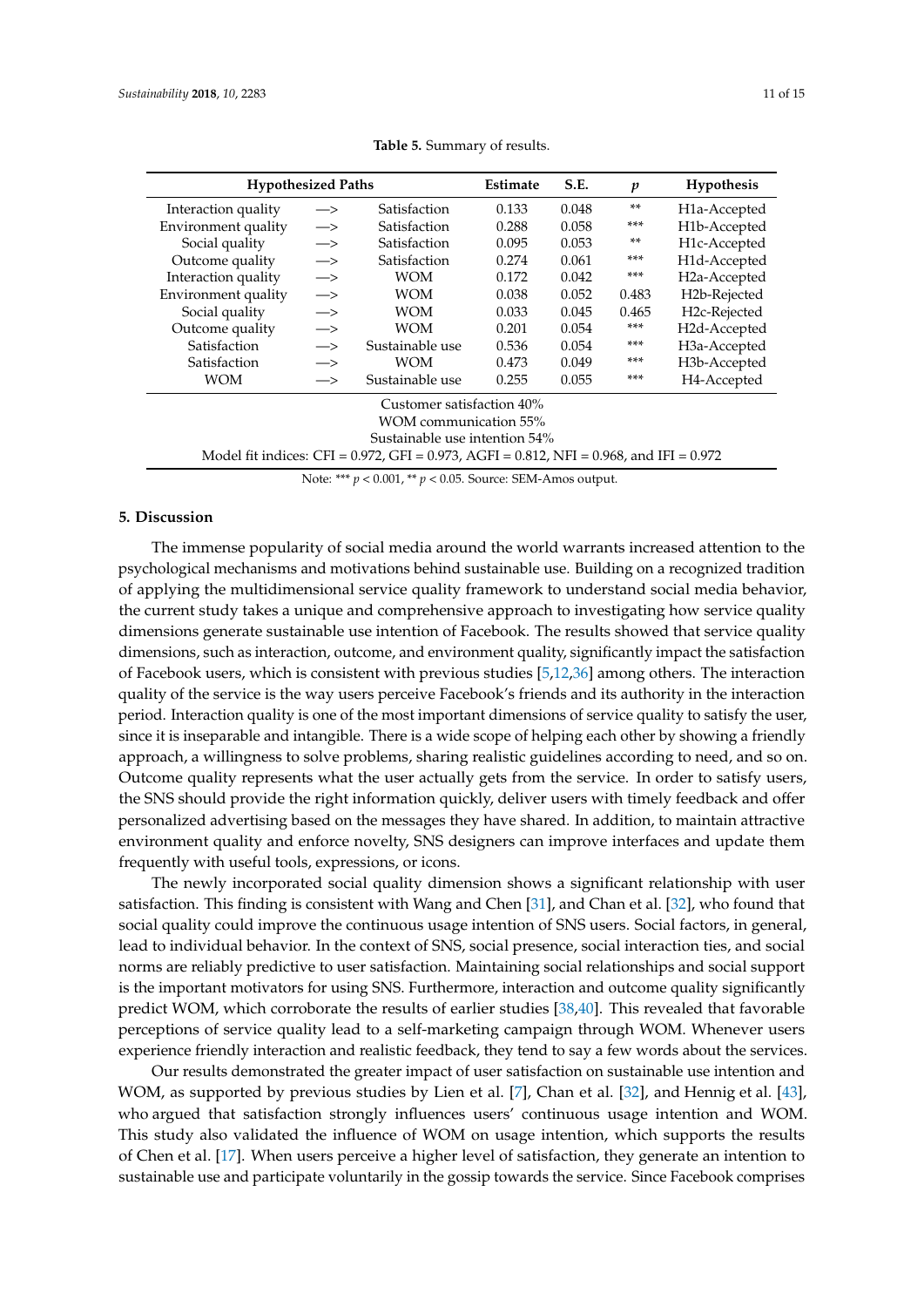<span id="page-10-1"></span>

| <b>Hypothesized Paths</b>                                                                             | <b>Estimate</b>   | S.E.            | p     | Hypothesis |       |                           |  |  |
|-------------------------------------------------------------------------------------------------------|-------------------|-----------------|-------|------------|-------|---------------------------|--|--|
| Interaction quality                                                                                   | $\rightarrow$     | Satisfaction    | 0.133 | 0.048      | $***$ | H <sub>1</sub> a-Accepted |  |  |
| Environment quality                                                                                   | $\rightarrow$     | Satisfaction    | 0.288 | 0.058      | ***   | H1b-Accepted              |  |  |
| Social quality                                                                                        | $\rightarrow$     | Satisfaction    | 0.095 | 0.053      | $***$ | H1c-Accepted              |  |  |
| Outcome quality                                                                                       | $\Longrightarrow$ | Satisfaction    | 0.274 | 0.061      | ***   | H1d-Accepted              |  |  |
| Interaction quality                                                                                   | $\Longrightarrow$ | <b>WOM</b>      | 0.172 | 0.042      | ***   | H <sub>2</sub> a-Accepted |  |  |
| Environment quality                                                                                   | $\Longrightarrow$ | <b>WOM</b>      | 0.038 | 0.052      | 0.483 | H2b-Rejected              |  |  |
| Social quality                                                                                        | $\rightarrow$     | <b>WOM</b>      | 0.033 | 0.045      | 0.465 | H2c-Rejected              |  |  |
| Outcome quality                                                                                       | $\Longrightarrow$ | WOM             | 0.201 | 0.054      | $***$ | H2d-Accepted              |  |  |
| Satisfaction                                                                                          | $\rightarrow$     | Sustainable use | 0.536 | 0.054      | ***   | H <sub>3</sub> a-Accepted |  |  |
| Satisfaction                                                                                          | $\rightarrow$     | <b>WOM</b>      | 0.473 | 0.049      | ***   | H3b-Accepted              |  |  |
| <b>WOM</b>                                                                                            | $\rightarrow$     | Sustainable use | 0.255 | 0.055      | ***   | H4-Accepted               |  |  |
| Customer satisfaction 40%                                                                             |                   |                 |       |            |       |                           |  |  |
| <b>WOM</b> communication 55%                                                                          |                   |                 |       |            |       |                           |  |  |
| Sustainable use intention 54%                                                                         |                   |                 |       |            |       |                           |  |  |
| Model fit indices: CFI = $0.972$ , GFI = $0.973$ , AGFI = $0.812$ , NFI = $0.968$ , and IFI = $0.972$ |                   |                 |       |            |       |                           |  |  |

**Table 5.** Summary of results.

Note: \*\*\* *p* < 0.001, \*\* *p* < 0.05. Source: SEM-Amos output.

# <span id="page-10-0"></span>**5. Discussion**

The immense popularity of social media around the world warrants increased attention to the psychological mechanisms and motivations behind sustainable use. Building on a recognized tradition of applying the multidimensional service quality framework to understand social media behavior, the current study takes a unique and comprehensive approach to investigating how service quality dimensions generate sustainable use intention of Facebook. The results showed that service quality dimensions, such as interaction, outcome, and environment quality, significantly impact the satisfaction of Facebook users, which is consistent with previous studies [\[5](#page-12-4)[,12,](#page-13-0)[36\]](#page-13-24) among others. The interaction quality of the service is the way users perceive Facebook's friends and its authority in the interaction period. Interaction quality is one of the most important dimensions of service quality to satisfy the user, since it is inseparable and intangible. There is a wide scope of helping each other by showing a friendly approach, a willingness to solve problems, sharing realistic guidelines according to need, and so on. Outcome quality represents what the user actually gets from the service. In order to satisfy users, the SNS should provide the right information quickly, deliver users with timely feedback and offer personalized advertising based on the messages they have shared. In addition, to maintain attractive environment quality and enforce novelty, SNS designers can improve interfaces and update them frequently with useful tools, expressions, or icons.

The newly incorporated social quality dimension shows a significant relationship with user satisfaction. This finding is consistent with Wang and Chen [\[31\]](#page-13-19), and Chan et al. [\[32\]](#page-13-20), who found that social quality could improve the continuous usage intention of SNS users. Social factors, in general, lead to individual behavior. In the context of SNS, social presence, social interaction ties, and social norms are reliably predictive to user satisfaction. Maintaining social relationships and social support is the important motivators for using SNS. Furthermore, interaction and outcome quality significantly predict WOM, which corroborate the results of earlier studies [\[38,](#page-14-0)[40\]](#page-14-2). This revealed that favorable perceptions of service quality lead to a self-marketing campaign through WOM. Whenever users experience friendly interaction and realistic feedback, they tend to say a few words about the services.

Our results demonstrated the greater impact of user satisfaction on sustainable use intention and WOM, as supported by previous studies by Lien et al. [\[7\]](#page-12-5), Chan et al. [\[32\]](#page-13-20), and Hennig et al. [\[43\]](#page-14-5), who argued that satisfaction strongly influences users' continuous usage intention and WOM. This study also validated the influence of WOM on usage intention, which supports the results of Chen et al. [\[17\]](#page-13-5). When users perceive a higher level of satisfaction, they generate an intention to sustainable use and participate voluntarily in the gossip towards the service. Since Facebook comprises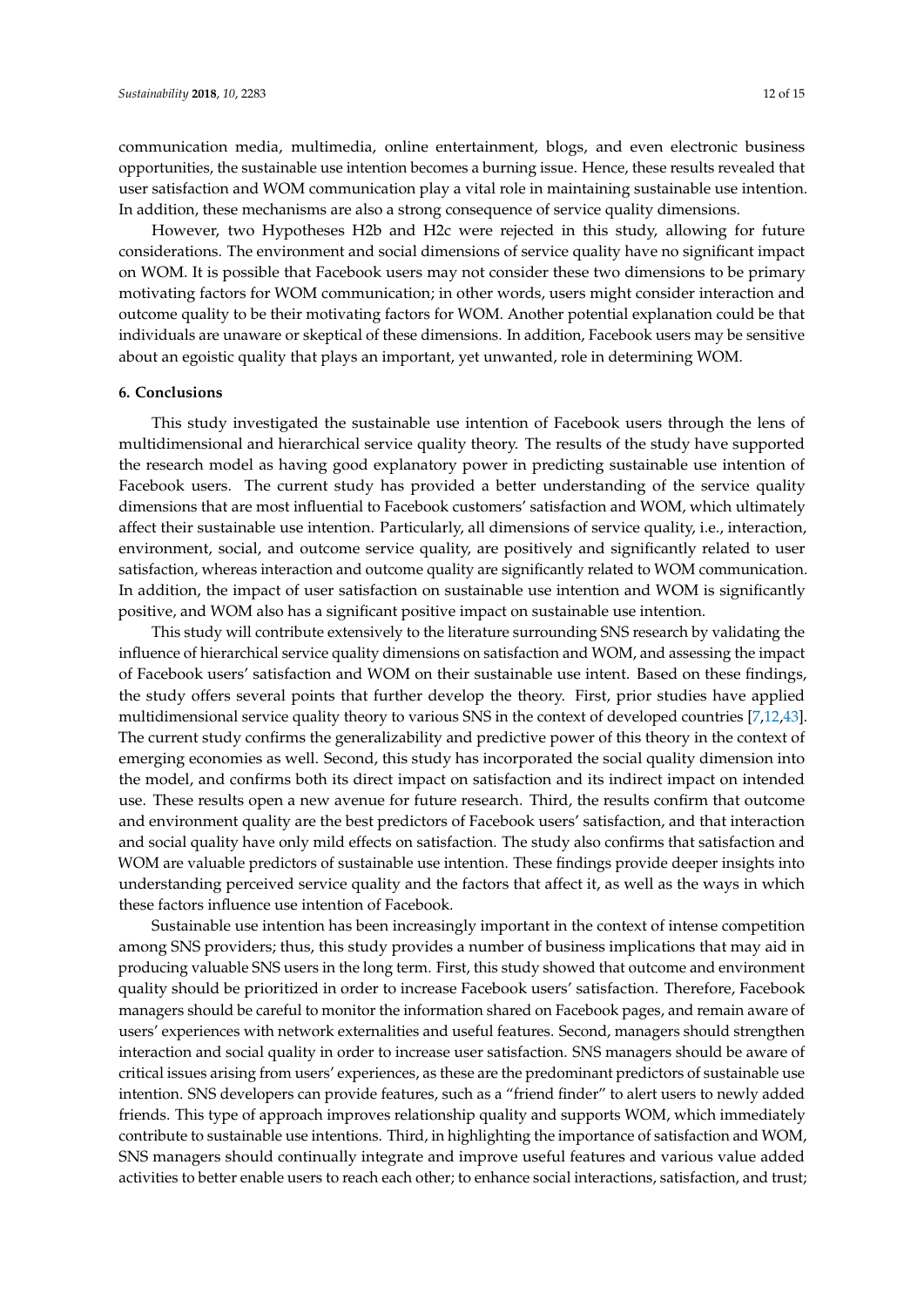communication media, multimedia, online entertainment, blogs, and even electronic business opportunities, the sustainable use intention becomes a burning issue. Hence, these results revealed that user satisfaction and WOM communication play a vital role in maintaining sustainable use intention. In addition, these mechanisms are also a strong consequence of service quality dimensions.

However, two Hypotheses H2b and H2c were rejected in this study, allowing for future considerations. The environment and social dimensions of service quality have no significant impact on WOM. It is possible that Facebook users may not consider these two dimensions to be primary motivating factors for WOM communication; in other words, users might consider interaction and outcome quality to be their motivating factors for WOM. Another potential explanation could be that individuals are unaware or skeptical of these dimensions. In addition, Facebook users may be sensitive about an egoistic quality that plays an important, yet unwanted, role in determining WOM.

# **6. Conclusions**

This study investigated the sustainable use intention of Facebook users through the lens of multidimensional and hierarchical service quality theory. The results of the study have supported the research model as having good explanatory power in predicting sustainable use intention of Facebook users. The current study has provided a better understanding of the service quality dimensions that are most influential to Facebook customers' satisfaction and WOM, which ultimately affect their sustainable use intention. Particularly, all dimensions of service quality, i.e., interaction, environment, social, and outcome service quality, are positively and significantly related to user satisfaction, whereas interaction and outcome quality are significantly related to WOM communication. In addition, the impact of user satisfaction on sustainable use intention and WOM is significantly positive, and WOM also has a significant positive impact on sustainable use intention.

This study will contribute extensively to the literature surrounding SNS research by validating the influence of hierarchical service quality dimensions on satisfaction and WOM, and assessing the impact of Facebook users' satisfaction and WOM on their sustainable use intent. Based on these findings, the study offers several points that further develop the theory. First, prior studies have applied multidimensional service quality theory to various SNS in the context of developed countries [\[7](#page-12-5)[,12](#page-13-0)[,43\]](#page-14-5). The current study confirms the generalizability and predictive power of this theory in the context of emerging economies as well. Second, this study has incorporated the social quality dimension into the model, and confirms both its direct impact on satisfaction and its indirect impact on intended use. These results open a new avenue for future research. Third, the results confirm that outcome and environment quality are the best predictors of Facebook users' satisfaction, and that interaction and social quality have only mild effects on satisfaction. The study also confirms that satisfaction and WOM are valuable predictors of sustainable use intention. These findings provide deeper insights into understanding perceived service quality and the factors that affect it, as well as the ways in which these factors influence use intention of Facebook.

Sustainable use intention has been increasingly important in the context of intense competition among SNS providers; thus, this study provides a number of business implications that may aid in producing valuable SNS users in the long term. First, this study showed that outcome and environment quality should be prioritized in order to increase Facebook users' satisfaction. Therefore, Facebook managers should be careful to monitor the information shared on Facebook pages, and remain aware of users' experiences with network externalities and useful features. Second, managers should strengthen interaction and social quality in order to increase user satisfaction. SNS managers should be aware of critical issues arising from users' experiences, as these are the predominant predictors of sustainable use intention. SNS developers can provide features, such as a "friend finder" to alert users to newly added friends. This type of approach improves relationship quality and supports WOM, which immediately contribute to sustainable use intentions. Third, in highlighting the importance of satisfaction and WOM, SNS managers should continually integrate and improve useful features and various value added activities to better enable users to reach each other; to enhance social interactions, satisfaction, and trust;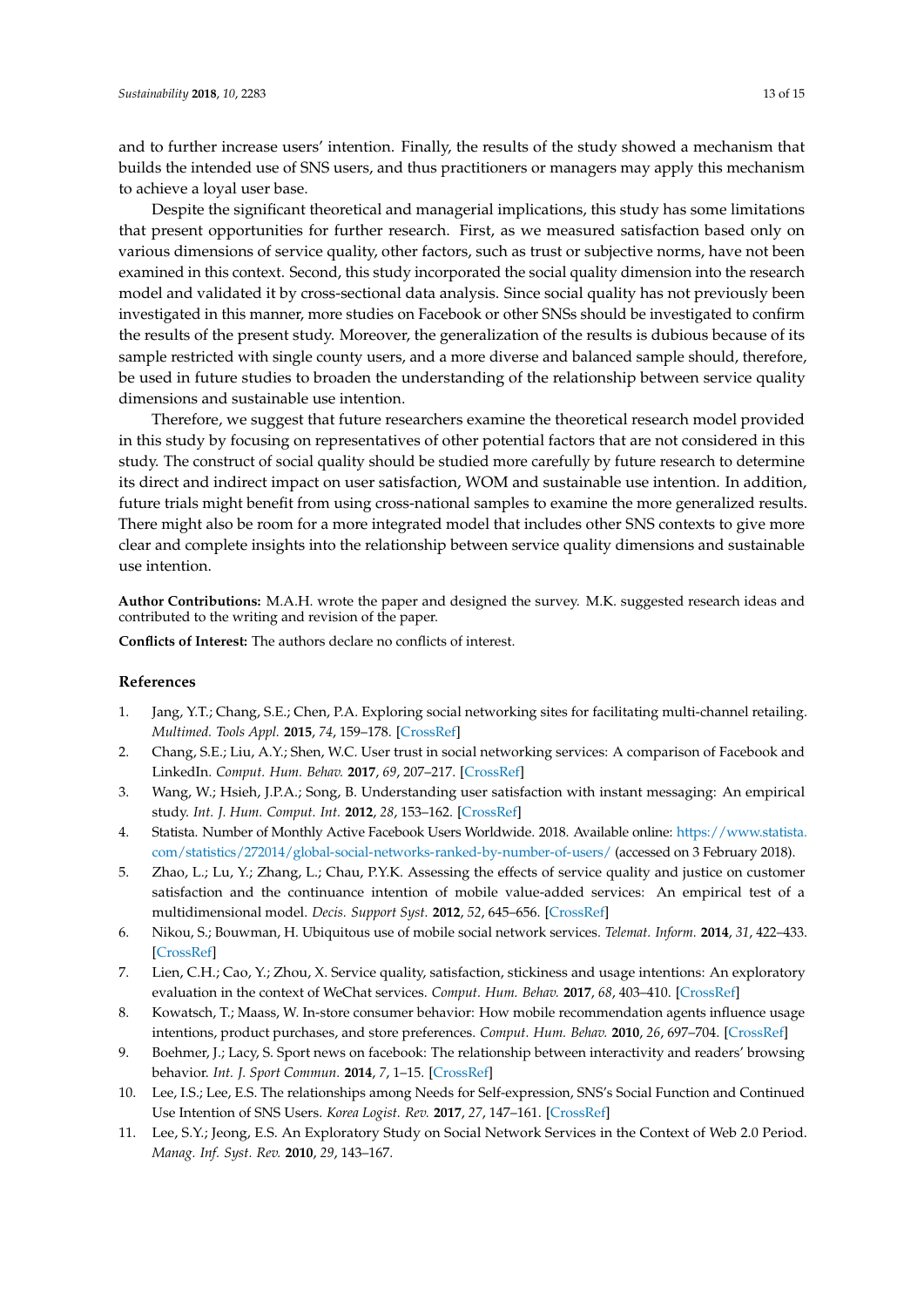and to further increase users' intention. Finally, the results of the study showed a mechanism that builds the intended use of SNS users, and thus practitioners or managers may apply this mechanism to achieve a loyal user base.

Despite the significant theoretical and managerial implications, this study has some limitations that present opportunities for further research. First, as we measured satisfaction based only on various dimensions of service quality, other factors, such as trust or subjective norms, have not been examined in this context. Second, this study incorporated the social quality dimension into the research model and validated it by cross-sectional data analysis. Since social quality has not previously been investigated in this manner, more studies on Facebook or other SNSs should be investigated to confirm the results of the present study. Moreover, the generalization of the results is dubious because of its sample restricted with single county users, and a more diverse and balanced sample should, therefore, be used in future studies to broaden the understanding of the relationship between service quality dimensions and sustainable use intention.

Therefore, we suggest that future researchers examine the theoretical research model provided in this study by focusing on representatives of other potential factors that are not considered in this study. The construct of social quality should be studied more carefully by future research to determine its direct and indirect impact on user satisfaction, WOM and sustainable use intention. In addition, future trials might benefit from using cross-national samples to examine the more generalized results. There might also be room for a more integrated model that includes other SNS contexts to give more clear and complete insights into the relationship between service quality dimensions and sustainable use intention.

**Author Contributions:** M.A.H. wrote the paper and designed the survey. M.K. suggested research ideas and contributed to the writing and revision of the paper.

**Conflicts of Interest:** The authors declare no conflicts of interest.

# **References**

- <span id="page-12-0"></span>1. Jang, Y.T.; Chang, S.E.; Chen, P.A. Exploring social networking sites for facilitating multi-channel retailing. *Multimed. Tools Appl.* **2015**, *74*, 159–178. [\[CrossRef\]](http://dx.doi.org/10.1007/s11042-013-1430-z)
- <span id="page-12-1"></span>2. Chang, S.E.; Liu, A.Y.; Shen, W.C. User trust in social networking services: A comparison of Facebook and LinkedIn. *Comput. Hum. Behav.* **2017**, *69*, 207–217. [\[CrossRef\]](http://dx.doi.org/10.1016/j.chb.2016.12.013)
- <span id="page-12-2"></span>3. Wang, W.; Hsieh, J.P.A.; Song, B. Understanding user satisfaction with instant messaging: An empirical study. *Int. J. Hum. Comput. Int.* **2012**, *28*, 153–162. [\[CrossRef\]](http://dx.doi.org/10.1080/10447318.2011.568893)
- <span id="page-12-3"></span>4. Statista. Number of Monthly Active Facebook Users Worldwide. 2018. Available online: [https://www.statista.](https://www.statista.com/statistics/272014/global-social-networks-ranked-by-number-of-users/) [com/statistics/272014/global-social-networks-ranked-by-number-of-users/](https://www.statista.com/statistics/272014/global-social-networks-ranked-by-number-of-users/) (accessed on 3 February 2018).
- <span id="page-12-4"></span>5. Zhao, L.; Lu, Y.; Zhang, L.; Chau, P.Y.K. Assessing the effects of service quality and justice on customer satisfaction and the continuance intention of mobile value-added services: An empirical test of a multidimensional model. *Decis. Support Syst.* **2012**, *52*, 645–656. [\[CrossRef\]](http://dx.doi.org/10.1016/j.dss.2011.10.022)
- 6. Nikou, S.; Bouwman, H. Ubiquitous use of mobile social network services. *Telemat. Inform.* **2014**, *31*, 422–433. [\[CrossRef\]](http://dx.doi.org/10.1016/j.tele.2013.11.002)
- <span id="page-12-5"></span>7. Lien, C.H.; Cao, Y.; Zhou, X. Service quality, satisfaction, stickiness and usage intentions: An exploratory evaluation in the context of WeChat services. *Comput. Hum. Behav.* **2017**, *68*, 403–410. [\[CrossRef\]](http://dx.doi.org/10.1016/j.chb.2016.11.061)
- <span id="page-12-6"></span>8. Kowatsch, T.; Maass, W. In-store consumer behavior: How mobile recommendation agents influence usage intentions, product purchases, and store preferences. *Comput. Hum. Behav.* **2010**, *26*, 697–704. [\[CrossRef\]](http://dx.doi.org/10.1016/j.chb.2010.01.006)
- <span id="page-12-7"></span>9. Boehmer, J.; Lacy, S. Sport news on facebook: The relationship between interactivity and readers' browsing behavior. *Int. J. Sport Commun.* **2014**, *7*, 1–15. [\[CrossRef\]](http://dx.doi.org/10.1123/IJSC.2013-0112)
- <span id="page-12-8"></span>10. Lee, I.S.; Lee, E.S. The relationships among Needs for Self-expression, SNS's Social Function and Continued Use Intention of SNS Users. *Korea Logist. Rev.* **2017**, *27*, 147–161. [\[CrossRef\]](http://dx.doi.org/10.17825/klr.2017.27.3.147)
- <span id="page-12-9"></span>11. Lee, S.Y.; Jeong, E.S. An Exploratory Study on Social Network Services in the Context of Web 2.0 Period. *Manag. Inf. Syst. Rev.* **2010**, *29*, 143–167.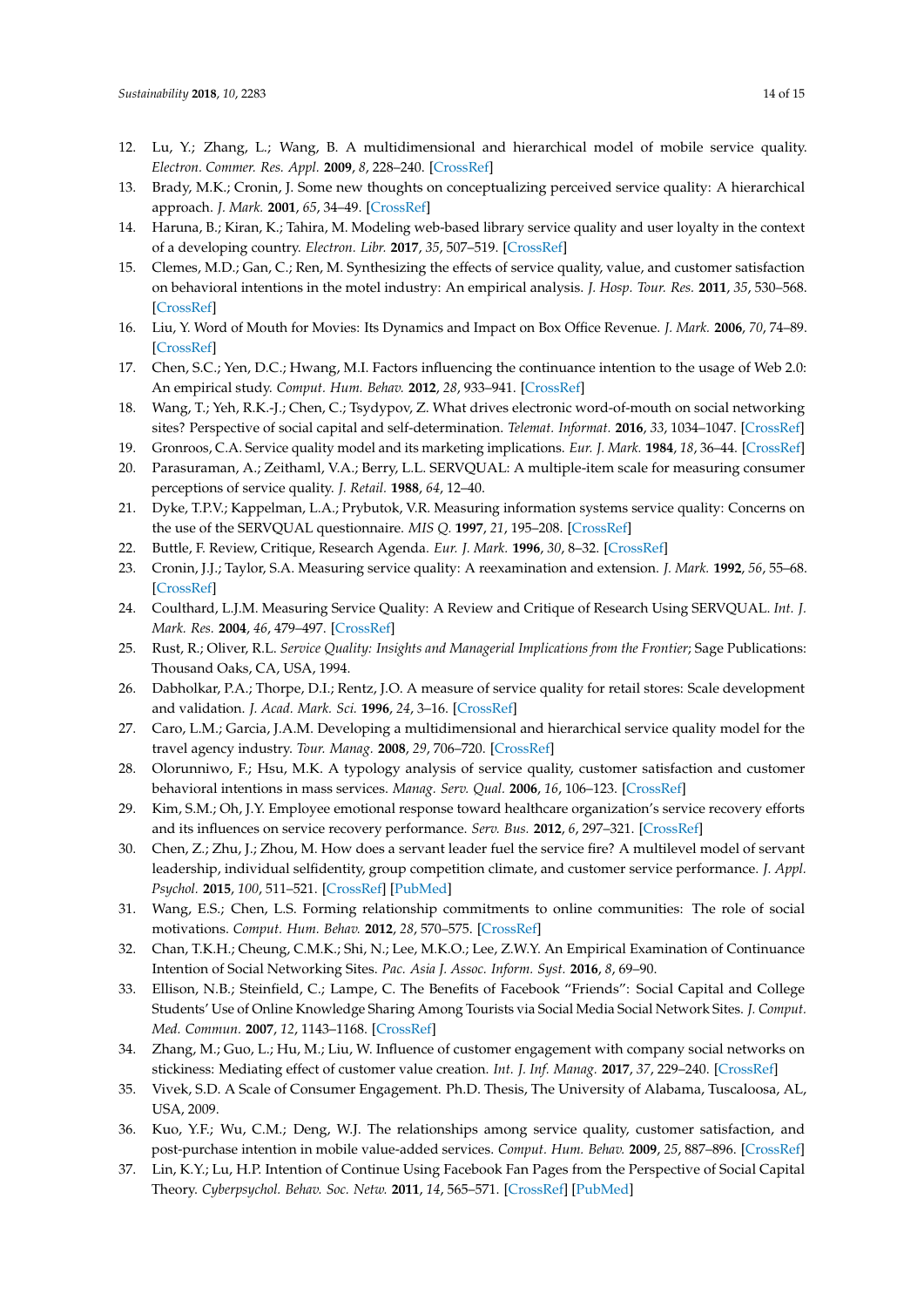- <span id="page-13-0"></span>12. Lu, Y.; Zhang, L.; Wang, B. A multidimensional and hierarchical model of mobile service quality. *Electron. Commer. Res. Appl.* **2009**, *8*, 228–240. [\[CrossRef\]](http://dx.doi.org/10.1016/j.elerap.2009.04.002)
- <span id="page-13-1"></span>13. Brady, M.K.; Cronin, J. Some new thoughts on conceptualizing perceived service quality: A hierarchical approach. *J. Mark.* **2001**, *65*, 34–49. [\[CrossRef\]](http://dx.doi.org/10.1509/jmkg.65.3.34.18334)
- <span id="page-13-2"></span>14. Haruna, B.; Kiran, K.; Tahira, M. Modeling web-based library service quality and user loyalty in the context of a developing country. *Electron. Libr.* **2017**, *35*, 507–519. [\[CrossRef\]](http://dx.doi.org/10.1108/EL-10-2015-0211)
- <span id="page-13-3"></span>15. Clemes, M.D.; Gan, C.; Ren, M. Synthesizing the effects of service quality, value, and customer satisfaction on behavioral intentions in the motel industry: An empirical analysis. *J. Hosp. Tour. Res.* **2011**, *35*, 530–568. [\[CrossRef\]](http://dx.doi.org/10.1177/1096348010382239)
- <span id="page-13-4"></span>16. Liu, Y. Word of Mouth for Movies: Its Dynamics and Impact on Box Office Revenue. *J. Mark.* **2006**, *70*, 74–89. [\[CrossRef\]](http://dx.doi.org/10.1509/jmkg.70.3.74)
- <span id="page-13-5"></span>17. Chen, S.C.; Yen, D.C.; Hwang, M.I. Factors influencing the continuance intention to the usage of Web 2.0: An empirical study. *Comput. Hum. Behav.* **2012**, *28*, 933–941. [\[CrossRef\]](http://dx.doi.org/10.1016/j.chb.2011.12.014)
- <span id="page-13-6"></span>18. Wang, T.; Yeh, R.K.-J.; Chen, C.; Tsydypov, Z. What drives electronic word-of-mouth on social networking sites? Perspective of social capital and self-determination. *Telemat. Informat.* **2016**, *33*, 1034–1047. [\[CrossRef\]](http://dx.doi.org/10.1016/j.tele.2016.03.005)
- <span id="page-13-7"></span>19. Gronroos, C.A. Service quality model and its marketing implications. *Eur. J. Mark.* **1984**, *18*, 36–44. [\[CrossRef\]](http://dx.doi.org/10.1108/EUM0000000004784)
- <span id="page-13-8"></span>20. Parasuraman, A.; Zeithaml, V.A.; Berry, L.L. SERVQUAL: A multiple-item scale for measuring consumer perceptions of service quality. *J. Retail.* **1988**, *64*, 12–40.
- <span id="page-13-9"></span>21. Dyke, T.P.V.; Kappelman, L.A.; Prybutok, V.R. Measuring information systems service quality: Concerns on the use of the SERVQUAL questionnaire. *MIS Q.* **1997**, *21*, 195–208. [\[CrossRef\]](http://dx.doi.org/10.2307/249419)
- <span id="page-13-11"></span><span id="page-13-10"></span>22. Buttle, F. Review, Critique, Research Agenda. *Eur. J. Mark.* **1996**, *30*, 8–32. [\[CrossRef\]](http://dx.doi.org/10.1108/03090569610105762)
- 23. Cronin, J.J.; Taylor, S.A. Measuring service quality: A reexamination and extension. *J. Mark.* **1992**, *56*, 55–68. [\[CrossRef\]](http://dx.doi.org/10.2307/1252296)
- <span id="page-13-12"></span>24. Coulthard, L.J.M. Measuring Service Quality: A Review and Critique of Research Using SERVQUAL. *Int. J. Mark. Res.* **2004**, *46*, 479–497. [\[CrossRef\]](http://dx.doi.org/10.1177/147078530404600401)
- <span id="page-13-13"></span>25. Rust, R.; Oliver, R.L. *Service Quality: Insights and Managerial Implications from the Frontier*; Sage Publications: Thousand Oaks, CA, USA, 1994.
- <span id="page-13-14"></span>26. Dabholkar, P.A.; Thorpe, D.I.; Rentz, J.O. A measure of service quality for retail stores: Scale development and validation. *J. Acad. Mark. Sci.* **1996**, *24*, 3–16. [\[CrossRef\]](http://dx.doi.org/10.1007/BF02893933)
- <span id="page-13-15"></span>27. Caro, L.M.; Garcia, J.A.M. Developing a multidimensional and hierarchical service quality model for the travel agency industry. *Tour. Manag.* **2008**, *29*, 706–720. [\[CrossRef\]](http://dx.doi.org/10.1016/j.tourman.2007.07.014)
- <span id="page-13-16"></span>28. Olorunniwo, F.; Hsu, M.K. A typology analysis of service quality, customer satisfaction and customer behavioral intentions in mass services. *Manag. Serv. Qual.* **2006**, *16*, 106–123. [\[CrossRef\]](http://dx.doi.org/10.1108/09604520610650600)
- <span id="page-13-17"></span>29. Kim, S.M.; Oh, J.Y. Employee emotional response toward healthcare organization's service recovery efforts and its influences on service recovery performance. *Serv. Bus.* **2012**, *6*, 297–321. [\[CrossRef\]](http://dx.doi.org/10.1007/s11628-012-0137-y)
- <span id="page-13-18"></span>30. Chen, Z.; Zhu, J.; Zhou, M. How does a servant leader fuel the service fire? A multilevel model of servant leadership, individual selfidentity, group competition climate, and customer service performance. *J. Appl. Psychol.* **2015**, *100*, 511–521. [\[CrossRef\]](http://dx.doi.org/10.1037/a0038036) [\[PubMed\]](http://www.ncbi.nlm.nih.gov/pubmed/25314366)
- <span id="page-13-19"></span>31. Wang, E.S.; Chen, L.S. Forming relationship commitments to online communities: The role of social motivations. *Comput. Hum. Behav.* **2012**, *28*, 570–575. [\[CrossRef\]](http://dx.doi.org/10.1016/j.chb.2011.11.002)
- <span id="page-13-20"></span>32. Chan, T.K.H.; Cheung, C.M.K.; Shi, N.; Lee, M.K.O.; Lee, Z.W.Y. An Empirical Examination of Continuance Intention of Social Networking Sites. *Pac. Asia J. Assoc. Inform. Syst.* **2016**, *8*, 69–90.
- <span id="page-13-21"></span>33. Ellison, N.B.; Steinfield, C.; Lampe, C. The Benefits of Facebook "Friends": Social Capital and College Students' Use of Online Knowledge Sharing Among Tourists via Social Media Social Network Sites. *J. Comput. Med. Commun.* **2007**, *12*, 1143–1168. [\[CrossRef\]](http://dx.doi.org/10.1111/j.1083-6101.2007.00367.x)
- <span id="page-13-22"></span>34. Zhang, M.; Guo, L.; Hu, M.; Liu, W. Influence of customer engagement with company social networks on stickiness: Mediating effect of customer value creation. *Int. J. Inf. Manag.* **2017**, *37*, 229–240. [\[CrossRef\]](http://dx.doi.org/10.1016/j.ijinfomgt.2016.04.010)
- <span id="page-13-23"></span>35. Vivek, S.D. A Scale of Consumer Engagement. Ph.D. Thesis, The University of Alabama, Tuscaloosa, AL, USA, 2009.
- <span id="page-13-24"></span>36. Kuo, Y.F.; Wu, C.M.; Deng, W.J. The relationships among service quality, customer satisfaction, and post-purchase intention in mobile value-added services. *Comput. Hum. Behav.* **2009**, *25*, 887–896. [\[CrossRef\]](http://dx.doi.org/10.1016/j.chb.2009.03.003)
- <span id="page-13-25"></span>37. Lin, K.Y.; Lu, H.P. Intention of Continue Using Facebook Fan Pages from the Perspective of Social Capital Theory. *Cyberpsychol. Behav. Soc. Netw.* **2011**, *14*, 565–571. [\[CrossRef\]](http://dx.doi.org/10.1089/cyber.2010.0472) [\[PubMed\]](http://www.ncbi.nlm.nih.gov/pubmed/21381968)